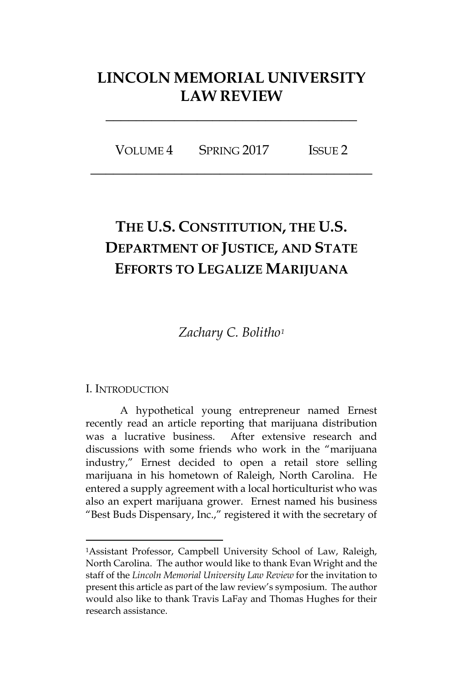## **LINCOLN MEMORIAL UNIVERSITY LAW REVIEW**

**\_\_\_\_\_\_\_\_\_\_\_\_\_\_\_\_\_\_\_\_\_\_\_\_\_\_\_\_\_\_\_\_\_**

VOLUME 4 SPRING 2017 ISSUE 2 **\_\_\_\_\_\_\_\_\_\_\_\_\_\_\_\_\_\_\_\_\_\_\_\_\_\_\_\_\_\_\_\_\_\_\_\_\_**

# **THE U.S. CONSTITUTION, THE U.S. DEPARTMENT OF JUSTICE, AND STATE EFFORTS TO LEGALIZE MARIJUANA**

*Zachary C. Bolitho[1](#page-0-0)*

#### I. INTRODUCTION

 $\overline{a}$ 

A hypothetical young entrepreneur named Ernest recently read an article reporting that marijuana distribution was a lucrative business. After extensive research and discussions with some friends who work in the "marijuana industry," Ernest decided to open a retail store selling marijuana in his hometown of Raleigh, North Carolina. He entered a supply agreement with a local horticulturist who was also an expert marijuana grower. Ernest named his business "Best Buds Dispensary, Inc.," registered it with the secretary of

<span id="page-0-0"></span><sup>1</sup>Assistant Professor, Campbell University School of Law, Raleigh, North Carolina. The author would like to thank Evan Wright and the staff of the *Lincoln Memorial University Law Review* for the invitation to present this article as part of the law review's symposium. The author would also like to thank Travis LaFay and Thomas Hughes for their research assistance.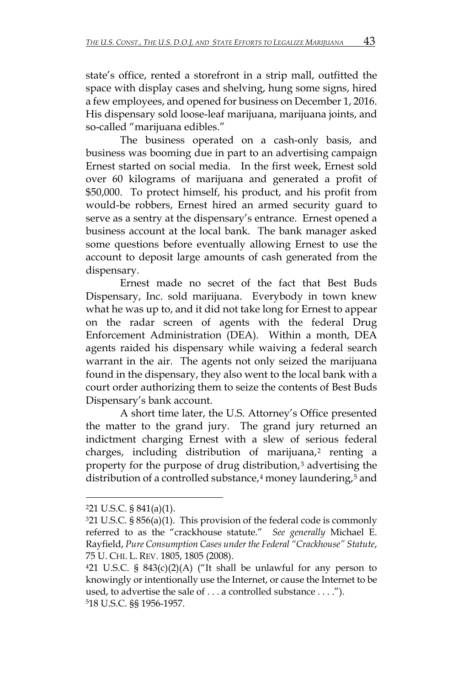state's office, rented a storefront in a strip mall, outfitted the space with display cases and shelving, hung some signs, hired a few employees, and opened for business on December 1, 2016. His dispensary sold loose-leaf marijuana, marijuana joints, and so-called "marijuana edibles."

The business operated on a cash-only basis, and business was booming due in part to an advertising campaign Ernest started on social media. In the first week, Ernest sold over 60 kilograms of marijuana and generated a profit of \$50,000. To protect himself, his product, and his profit from would-be robbers, Ernest hired an armed security guard to serve as a sentry at the dispensary's entrance. Ernest opened a business account at the local bank. The bank manager asked some questions before eventually allowing Ernest to use the account to deposit large amounts of cash generated from the dispensary.

Ernest made no secret of the fact that Best Buds Dispensary, Inc. sold marijuana. Everybody in town knew what he was up to, and it did not take long for Ernest to appear on the radar screen of agents with the federal Drug Enforcement Administration (DEA). Within a month, DEA agents raided his dispensary while waiving a federal search warrant in the air. The agents not only seized the marijuana found in the dispensary, they also went to the local bank with a court order authorizing them to seize the contents of Best Buds Dispensary's bank account.

A short time later, the U.S. Attorney's Office presented the matter to the grand jury. The grand jury returned an indictment charging Ernest with a slew of serious federal charges, including distribution of marijuana,<sup>[2](#page-1-0)</sup> renting a property for the purpose of drug distribution,<sup>[3](#page-1-1)</sup> advertising the distribution of a controlled substance,<sup>[4](#page-1-2)</sup> money laundering,<sup>[5](#page-1-3)</sup> and

<span id="page-1-0"></span><sup>221</sup> U.S.C. § 841(a)(1).

<span id="page-1-1"></span><sup>321</sup> U.S.C. § 856(a)(1). This provision of the federal code is commonly referred to as the "crackhouse statute." *See generally* Michael E. Rayfield, *Pure Consumption Cases under the Federal "Crackhouse" Statute*, 75 U. CHI. L. REV. 1805, 1805 (2008).

<span id="page-1-3"></span><span id="page-1-2"></span> $421$  U.S.C. §  $843(c)(2)(A)$  ("It shall be unlawful for any person to knowingly or intentionally use the Internet, or cause the Internet to be used, to advertise the sale of . . . a controlled substance . . . ."). 518 U.S.C. §§ 1956-1957.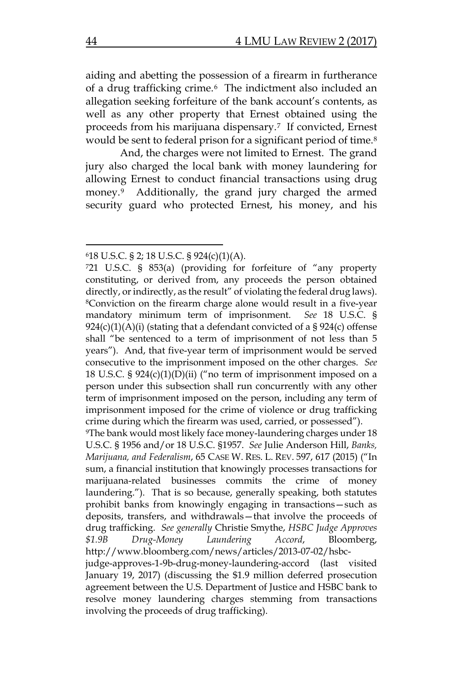aiding and abetting the possession of a firearm in furtherance of a drug trafficking crime.[6](#page-2-0) The indictment also included an allegation seeking forfeiture of the bank account's contents, as well as any other property that Ernest obtained using the proceeds from his marijuana dispensary.[7](#page-2-1) If convicted, Ernest would be sent to federal prison for a significant period of time.<sup>8</sup>

And, the charges were not limited to Ernest. The grand jury also charged the local bank with money laundering for allowing Ernest to conduct financial transactions using drug money.[9](#page-2-3) Additionally, the grand jury charged the armed security guard who protected Ernest, his money, and his

<span id="page-2-0"></span><sup>618</sup> U.S.C. § 2; 18 U.S.C. § 924(c)(1)(A).

<span id="page-2-2"></span><span id="page-2-1"></span><sup>721</sup> U.S.C. § 853(a) (providing for forfeiture of "any property constituting, or derived from, any proceeds the person obtained directly, or indirectly, as the result" of violating the federal drug laws). 8Conviction on the firearm charge alone would result in a five-year mandatory minimum term of imprisonment. *See* 18 U.S.C. §  $924(c)(1)(A)(i)$  (stating that a defendant convicted of a § 924(c) offense shall "be sentenced to a term of imprisonment of not less than 5 years"). And, that five-year term of imprisonment would be served consecutive to the imprisonment imposed on the other charges. *See*  18 U.S.C. §  $924(c)(1)(D)(ii)$  ("no term of imprisonment imposed on a person under this subsection shall run concurrently with any other term of imprisonment imposed on the person, including any term of imprisonment imposed for the crime of violence or drug trafficking crime during which the firearm was used, carried, or possessed").

<span id="page-2-3"></span><sup>9</sup>The bank would most likely face money-laundering charges under 18 U.S.C. § 1956 and/or 18 U.S.C. §1957. *See* Julie Anderson Hill, *Banks, Marijuana, and Federalism*, 65 CASE W. RES. L. REV. 597, 617 (2015) ("In sum, a financial institution that knowingly processes transactions for marijuana-related businesses commits the crime of money laundering."). That is so because, generally speaking, both statutes prohibit banks from knowingly engaging in transactions—such as deposits, transfers, and withdrawals—that involve the proceeds of drug trafficking. *See generally* Christie Smythe, *HSBC Judge Approves \$1.9B Drug-Money Laundering Accord*, Bloomberg, http://www.bloomberg.com/news/articles/2013-07-02/hsbc-

judge-approves-1-9b-drug-money-laundering-accord (last visited January 19, 2017) (discussing the \$1.9 million deferred prosecution agreement between the U.S. Department of Justice and HSBC bank to resolve money laundering charges stemming from transactions involving the proceeds of drug trafficking).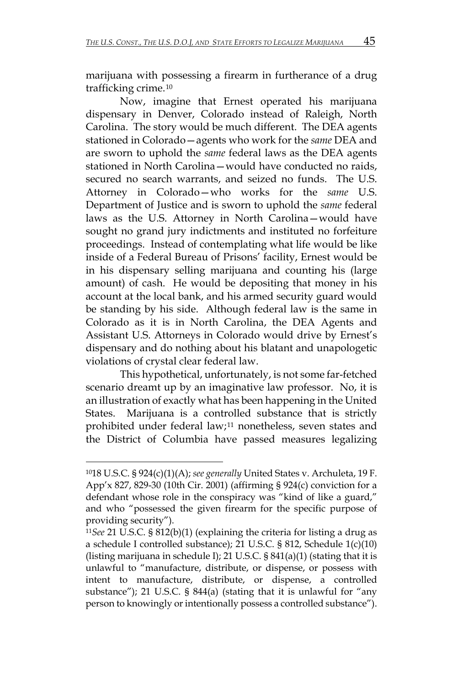marijuana with possessing a firearm in furtherance of a drug trafficking crime.[10](#page-3-0)

Now, imagine that Ernest operated his marijuana dispensary in Denver, Colorado instead of Raleigh, North Carolina. The story would be much different. The DEA agents stationed in Colorado—agents who work for the *same* DEA and are sworn to uphold the *same* federal laws as the DEA agents stationed in North Carolina—would have conducted no raids, secured no search warrants, and seized no funds. The U.S. Attorney in Colorado—who works for the *same* U.S. Department of Justice and is sworn to uphold the *same* federal laws as the U.S. Attorney in North Carolina—would have sought no grand jury indictments and instituted no forfeiture proceedings. Instead of contemplating what life would be like inside of a Federal Bureau of Prisons' facility, Ernest would be in his dispensary selling marijuana and counting his (large amount) of cash. He would be depositing that money in his account at the local bank, and his armed security guard would be standing by his side. Although federal law is the same in Colorado as it is in North Carolina, the DEA Agents and Assistant U.S. Attorneys in Colorado would drive by Ernest's dispensary and do nothing about his blatant and unapologetic violations of crystal clear federal law.

This hypothetical, unfortunately, is not some far-fetched scenario dreamt up by an imaginative law professor. No, it is an illustration of exactly what has been happening in the United States. Marijuana is a controlled substance that is strictly prohibited under federal law;[11](#page-3-1) nonetheless, seven states and the District of Columbia have passed measures legalizing

<span id="page-3-0"></span><sup>1018</sup> U.S.C. § 924(c)(1)(A); *see generally* United States v. Archuleta, 19 F. App'x 827, 829-30 (10th Cir. 2001) (affirming § 924(c) conviction for a defendant whose role in the conspiracy was "kind of like a guard," and who "possessed the given firearm for the specific purpose of providing security").

<span id="page-3-1"></span><sup>11</sup>*See* 21 U.S.C. § 812(b)(1) (explaining the criteria for listing a drug as a schedule I controlled substance); 21 U.S.C. § 812, Schedule 1(c)(10) (listing marijuana in schedule I); 21 U.S.C. § 841(a)(1) (stating that it is unlawful to "manufacture, distribute, or dispense, or possess with intent to manufacture, distribute, or dispense, a controlled substance"); 21 U.S.C. § 844(a) (stating that it is unlawful for "any person to knowingly or intentionally possess a controlled substance").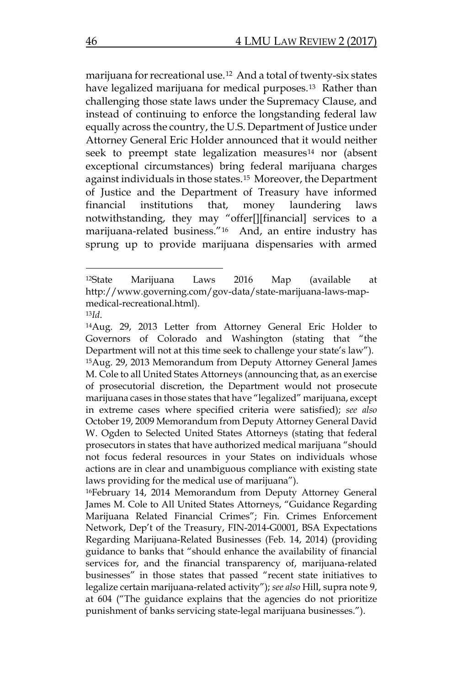marijuana for recreational use.[12](#page-4-0) And a total of twenty-six states have legalized marijuana for medical purposes.<sup>[13](#page-4-1)</sup> Rather than challenging those state laws under the Supremacy Clause, and instead of continuing to enforce the longstanding federal law equally across the country, the U.S. Department of Justice under Attorney General Eric Holder announced that it would neither seek to preempt state legalization measures<sup>[14](#page-4-2)</sup> nor (absent exceptional circumstances) bring federal marijuana charges against individuals in those states[.15](#page-4-3) Moreover, the Department of Justice and the Department of Treasury have informed financial institutions that, money laundering laws notwithstanding, they may "offer[][financial] services to a marijuana-related business."[16](#page-4-4) And, an entire industry has sprung up to provide marijuana dispensaries with armed

<span id="page-4-0"></span><sup>12</sup>State Marijuana Laws 2016 Map (available at http://www.governing.com/gov-data/state-marijuana-laws-mapmedical-recreational.html).

<span id="page-4-3"></span><span id="page-4-2"></span><span id="page-4-1"></span><sup>13</sup>*Id*. 14Aug. 29, 2013 Letter from Attorney General Eric Holder to Governors of Colorado and Washington (stating that "the Department will not at this time seek to challenge your state's law"). 15Aug. 29, 2013 Memorandum from Deputy Attorney General James M. Cole to all United States Attorneys (announcing that, as an exercise of prosecutorial discretion, the Department would not prosecute marijuana cases in those states that have "legalized" marijuana, except in extreme cases where specified criteria were satisfied); *see also*  October 19, 2009 Memorandum from Deputy Attorney General David W. Ogden to Selected United States Attorneys (stating that federal prosecutors in states that have authorized medical marijuana "should not focus federal resources in your States on individuals whose actions are in clear and unambiguous compliance with existing state laws providing for the medical use of marijuana").

<span id="page-4-4"></span><sup>16</sup>February 14, 2014 Memorandum from Deputy Attorney General James M. Cole to All United States Attorneys, "Guidance Regarding Marijuana Related Financial Crimes"; Fin. Crimes Enforcement Network, Dep't of the Treasury, FIN-2014-G0001, BSA Expectations Regarding Marijuana-Related Businesses (Feb. 14, 2014) (providing guidance to banks that "should enhance the availability of financial services for, and the financial transparency of, marijuana-related businesses" in those states that passed "recent state initiatives to legalize certain marijuana-related activity"); *see also* Hill, supra note 9, at 604 ("The guidance explains that the agencies do not prioritize punishment of banks servicing state-legal marijuana businesses.").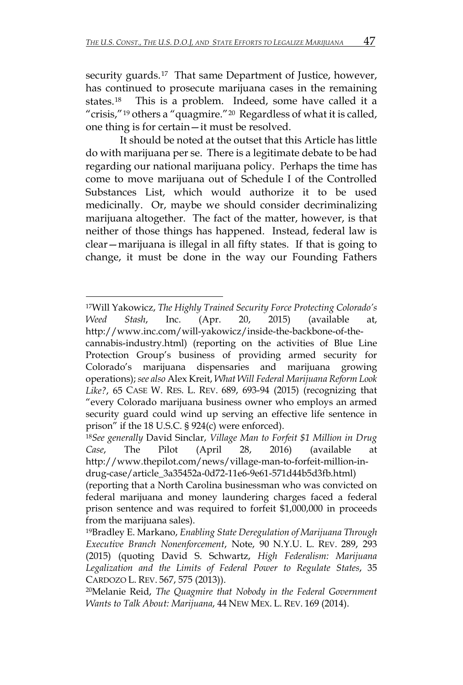security guards.<sup>[17](#page-5-0)</sup> That same Department of Justice, however, has continued to prosecute marijuana cases in the remaining states.[18](#page-5-1) This is a problem. Indeed, some have called it a "crisis,"<sup>[19](#page-5-2)</sup> others a "quagmire."<sup>20</sup> Regardless of what it is called, one thing is for certain—it must be resolved.

It should be noted at the outset that this Article has little do with marijuana per se. There is a legitimate debate to be had regarding our national marijuana policy. Perhaps the time has come to move marijuana out of Schedule I of the Controlled Substances List, which would authorize it to be used medicinally. Or, maybe we should consider decriminalizing marijuana altogether. The fact of the matter, however, is that neither of those things has happened. Instead, federal law is clear—marijuana is illegal in all fifty states. If that is going to change, it must be done in the way our Founding Fathers

<span id="page-5-0"></span> $\overline{a}$ 17Will Yakowicz, *The Highly Trained Security Force Protecting Colorado's Weed Stash*, Inc. (Apr. 20, 2015) (available at, http://www.inc.com/will-yakowicz/inside-the-backbone-of-the-

cannabis-industry.html) (reporting on the activities of Blue Line Protection Group's business of providing armed security for Colorado's marijuana dispensaries and marijuana growing operations); *see also* Alex Kreit, *What Will Federal Marijuana Reform Look Like?*, 65 CASE W. RES. L. REV. 689, 693-94 (2015) (recognizing that "every Colorado marijuana business owner who employs an armed security guard could wind up serving an effective life sentence in prison" if the 18 U.S.C. § 924(c) were enforced).

<span id="page-5-1"></span><sup>18</sup>*See generally* David Sinclar, *Village Man to Forfeit \$1 Million in Drug Case*, The Pilot (April 28, 2016) (available http://www.thepilot.com/news/village-man-to-forfeit-million-indrug-case/article\_3a35452a-0d72-11e6-9e61-571d44b5d3fb.html)

<sup>(</sup>reporting that a North Carolina businessman who was convicted on federal marijuana and money laundering charges faced a federal prison sentence and was required to forfeit \$1,000,000 in proceeds from the marijuana sales).

<span id="page-5-2"></span><sup>19</sup>Bradley E. Markano, *Enabling State Deregulation of Marijuana Through Executive Branch Nonenforcement*, Note, 90 N.Y.U. L. REV. 289, 293 (2015) (quoting David S. Schwartz, *High Federalism: Marijuana Legalization and the Limits of Federal Power to Regulate States*, 35 CARDOZO L. REV. 567, 575 (2013)).

<span id="page-5-3"></span><sup>20</sup>Melanie Reid, *The Quagmire that Nobody in the Federal Government Wants to Talk About: Marijuana*, 44 NEW MEX. L. REV. 169 (2014).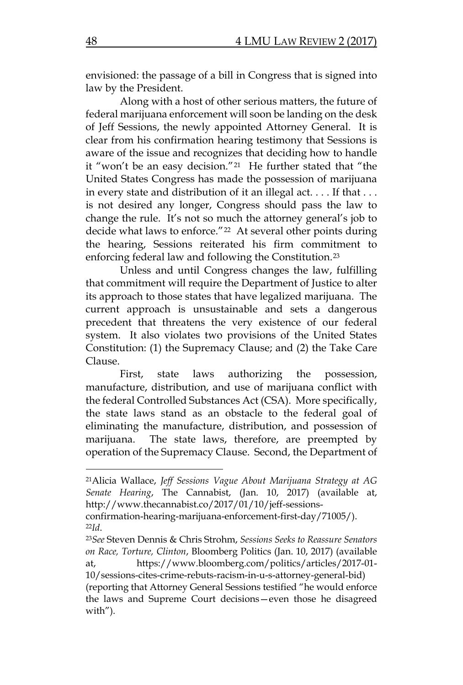envisioned: the passage of a bill in Congress that is signed into law by the President.

Along with a host of other serious matters, the future of federal marijuana enforcement will soon be landing on the desk of Jeff Sessions, the newly appointed Attorney General. It is clear from his confirmation hearing testimony that Sessions is aware of the issue and recognizes that deciding how to handle it "won't be an easy decision."<sup>21</sup> He further stated that "the United States Congress has made the possession of marijuana in every state and distribution of it an illegal act. . . . If that . . . is not desired any longer, Congress should pass the law to change the rule. It's not so much the attorney general's job to decide what laws to enforce."<sup>[22](#page-6-1)</sup> At several other points during the hearing, Sessions reiterated his firm commitment to enforcing federal law and following the Constitution.[23](#page-6-2)

Unless and until Congress changes the law, fulfilling that commitment will require the Department of Justice to alter its approach to those states that have legalized marijuana. The current approach is unsustainable and sets a dangerous precedent that threatens the very existence of our federal system. It also violates two provisions of the United States Constitution: (1) the Supremacy Clause; and (2) the Take Care Clause.

First, state laws authorizing the possession, manufacture, distribution, and use of marijuana conflict with the federal Controlled Substances Act (CSA). More specifically, the state laws stand as an obstacle to the federal goal of eliminating the manufacture, distribution, and possession of marijuana. The state laws, therefore, are preempted by operation of the Supremacy Clause. Second, the Department of

<span id="page-6-0"></span><sup>21</sup>Alicia Wallace, *Jeff Sessions Vague About Marijuana Strategy at AG Senate Hearing*, The Cannabist, (Jan. 10, 2017) (available at, http://www.thecannabist.co/2017/01/10/jeff-sessions-

confirmation-hearing-marijuana-enforcement-first-day/71005/).

<span id="page-6-2"></span><span id="page-6-1"></span><sup>22</sup>*Id*. 23*See* Steven Dennis & Chris Strohm, *Sessions Seeks to Reassure Senators on Race, Torture, Clinton*, Bloomberg Politics (Jan. 10, 2017) (available at, https://www.bloomberg.com/politics/articles/2017-01-

<sup>10/</sup>sessions-cites-crime-rebuts-racism-in-u-s-attorney-general-bid) (reporting that Attorney General Sessions testified "he would enforce the laws and Supreme Court decisions—even those he disagreed with").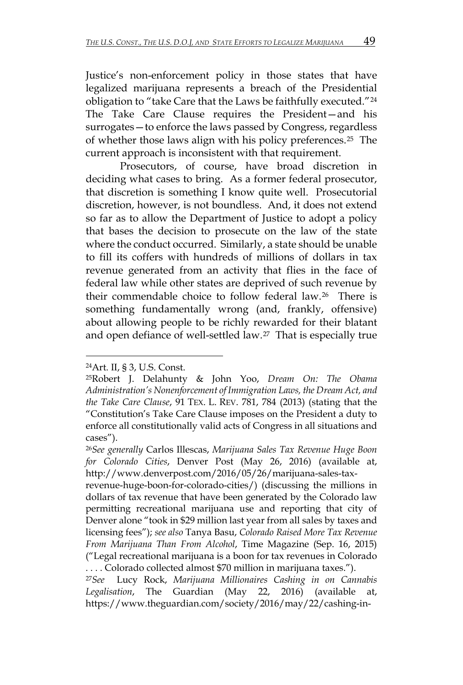Justice's non-enforcement policy in those states that have legalized marijuana represents a breach of the Presidential obligation to "take Care that the Laws be faithfully executed."[24](#page-7-0) The Take Care Clause requires the President—and his surrogates—to enforce the laws passed by Congress, regardless of whether those laws align with his policy preferences.[25](#page-7-1) The current approach is inconsistent with that requirement.

Prosecutors, of course, have broad discretion in deciding what cases to bring. As a former federal prosecutor, that discretion is something I know quite well. Prosecutorial discretion, however, is not boundless. And, it does not extend so far as to allow the Department of Justice to adopt a policy that bases the decision to prosecute on the law of the state where the conduct occurred. Similarly, a state should be unable to fill its coffers with hundreds of millions of dollars in tax revenue generated from an activity that flies in the face of federal law while other states are deprived of such revenue by their commendable choice to follow federal law.[26](#page-7-2) There is something fundamentally wrong (and, frankly, offensive) about allowing people to be richly rewarded for their blatant and open defiance of well-settled law.[27](#page-7-3) That is especially true

<span id="page-7-0"></span><sup>24</sup>Art. II, § 3, U.S. Const.

<span id="page-7-1"></span><sup>25</sup>Robert J. Delahunty & John Yoo, *Dream On: The Obama Administration's Nonenforcement of Immigration Laws, the Dream Act, and the Take Care Clause*, 91 TEX. L. REV. 781, 784 (2013) (stating that the "Constitution's Take Care Clause imposes on the President a duty to enforce all constitutionally valid acts of Congress in all situations and cases").

<span id="page-7-2"></span><sup>26</sup>*See generally* Carlos Illescas, *Marijuana Sales Tax Revenue Huge Boon for Colorado Cities*, Denver Post (May 26, 2016) (available at, http://www.denverpost.com/2016/05/26/marijuana-sales-tax-

revenue-huge-boon-for-colorado-cities/) (discussing the millions in dollars of tax revenue that have been generated by the Colorado law permitting recreational marijuana use and reporting that city of Denver alone "took in \$29 million last year from all sales by taxes and licensing fees"); *see also* Tanya Basu, *Colorado Raised More Tax Revenue From Marijuana Than From Alcohol*, Time Magazine (Sep. 16, 2015) ("Legal recreational marijuana is a boon for tax revenues in Colorado . . . . Colorado collected almost \$70 million in marijuana taxes.").

<span id="page-7-3"></span><sup>27</sup>*See* Lucy Rock, *Marijuana Millionaires Cashing in on Cannabis Legalisation*, The Guardian (May 22, 2016) (available at, https://www.theguardian.com/society/2016/may/22/cashing-in-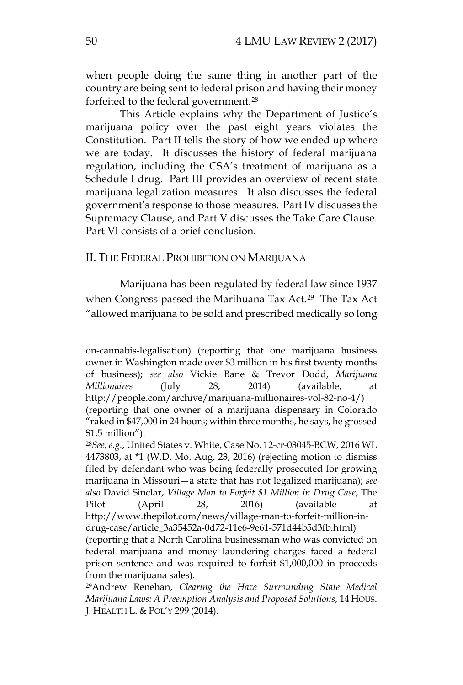when people doing the same thing in another part of the country are being sent to federal prison and having their money forfeited to the federal government.[28](#page-8-0)

This Article explains why the Department of Justice's marijuana policy over the past eight years violates the Constitution. Part II tells the story of how we ended up where we are today. It discusses the history of federal marijuana regulation, including the CSA's treatment of marijuana as a Schedule I drug. Part III provides an overview of recent state marijuana legalization measures. It also discusses the federal government's response to those measures. Part IV discusses the Supremacy Clause, and Part V discusses the Take Care Clause. Part VI consists of a brief conclusion.

#### II. THE FEDERAL PROHIBITION ON MARIJUANA

Marijuana has been regulated by federal law since 1937 when Congress passed the Marihuana Tax Act.<sup>29</sup> The Tax Act "allowed marijuana to be sold and prescribed medically so long

on-cannabis-legalisation) (reporting that one marijuana business owner in Washington made over \$3 million in his first twenty months of business); *see also* Vickie Bane & Trevor Dodd, *Marijuana Millionaires* (July 28, 2014) (available, at http://people.com/archive/marijuana-millionaires-vol-82-no-4/) (reporting that one owner of a marijuana dispensary in Colorado "raked in \$47,000 in 24 hours; within three months, he says, he grossed \$1.5 million").

<span id="page-8-0"></span><sup>28</sup>*See, e.g.*, United States v. White, Case No. 12-cr-03045-BCW, 2016 WL 4473803, at \*1 (W.D. Mo. Aug. 23, 2016) (rejecting motion to dismiss filed by defendant who was being federally prosecuted for growing marijuana in Missouri—a state that has not legalized marijuana); *see also* David Sinclar, *Village Man to Forfeit \$1 Million in Drug Case*, The Pilot (April 28, 2016) (available http://www.thepilot.com/news/village-man-to-forfeit-million-indrug-case/article\_3a35452a-0d72-11e6-9e61-571d44b5d3fb.html)

<sup>(</sup>reporting that a North Carolina businessman who was convicted on federal marijuana and money laundering charges faced a federal prison sentence and was required to forfeit \$1,000,000 in proceeds from the marijuana sales).

<span id="page-8-1"></span><sup>29</sup>Andrew Renehan, *Clearing the Haze Surrounding State Medical Marijuana Laws: A Preemption Analysis and Proposed Solutions*, 14 HOUS. J. HEALTH L. & POL'Y 299 (2014).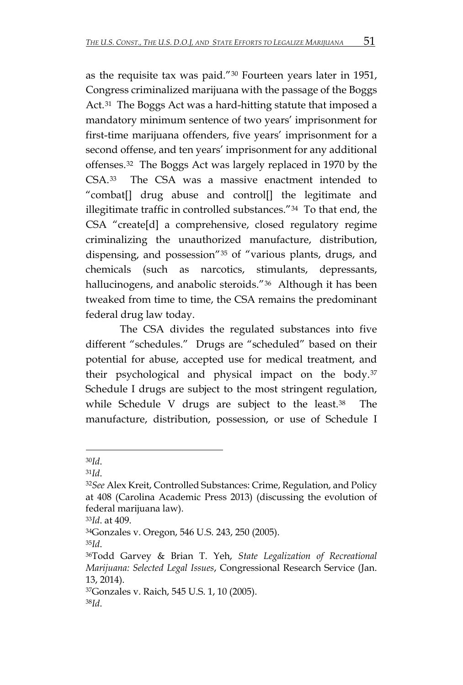as the requisite tax was paid."[30](#page-9-0) Fourteen years later in 1951, Congress criminalized marijuana with the passage of the Boggs Act.<sup>[31](#page-9-1)</sup> The Boggs Act was a hard-hitting statute that imposed a mandatory minimum sentence of two years' imprisonment for first-time marijuana offenders, five years' imprisonment for a second offense, and ten years' imprisonment for any additional offenses.[32](#page-9-2) The Boggs Act was largely replaced in 1970 by the CSA.[33](#page-9-3) The CSA was a massive enactment intended to "combat[] drug abuse and control[] the legitimate and illegitimate traffic in controlled substances."[34](#page-9-4) To that end, the CSA "create[d] a comprehensive, closed regulatory regime criminalizing the unauthorized manufacture, distribution, dispensing, and possession"[35](#page-9-5) of "various plants, drugs, and chemicals (such as narcotics, stimulants, depressants, hallucinogens, and anabolic steroids."<sup>[36](#page-9-6)</sup> Although it has been tweaked from time to time, the CSA remains the predominant federal drug law today.

The CSA divides the regulated substances into five different "schedules." Drugs are "scheduled" based on their potential for abuse, accepted use for medical treatment, and their psychological and physical impact on the body.[37](#page-9-7) Schedule I drugs are subject to the most stringent regulation, while Schedule V drugs are subject to the least.[38](#page-9-8) The manufacture, distribution, possession, or use of Schedule I

 $\overline{a}$ 

<span id="page-9-4"></span>34Gonzales v. Oregon, 546 U.S. 243, 250 (2005).

<span id="page-9-8"></span><span id="page-9-7"></span>37Gonzales v. Raich, 545 U.S. 1, 10 (2005). 38*Id*.

<span id="page-9-2"></span><span id="page-9-1"></span>

<span id="page-9-0"></span><sup>30</sup>*Id*. 31*Id*. 32*See* Alex Kreit, Controlled Substances: Crime, Regulation, and Policy at 408 (Carolina Academic Press 2013) (discussing the evolution of federal marijuana law).

<span id="page-9-3"></span><sup>33</sup>*Id*. at 409.

<span id="page-9-6"></span><span id="page-9-5"></span><sup>35</sup>*Id*. 36Todd Garvey & Brian T. Yeh, *State Legalization of Recreational Marijuana: Selected Legal Issues*, Congressional Research Service (Jan. 13, 2014).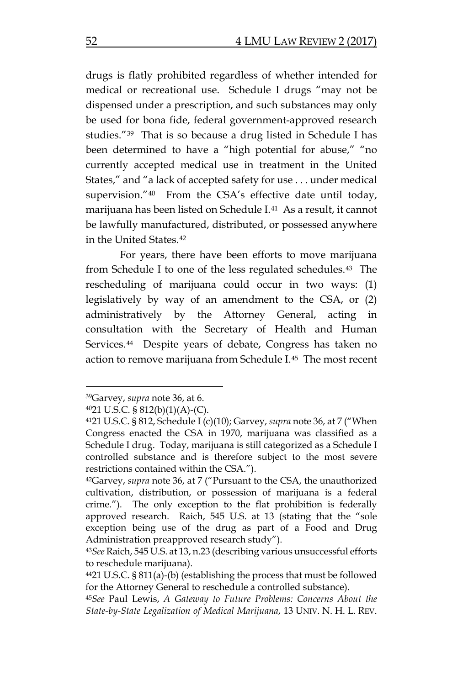drugs is flatly prohibited regardless of whether intended for medical or recreational use. Schedule I drugs "may not be dispensed under a prescription, and such substances may only be used for bona fide, federal government-approved research studies."[39](#page-10-0) That is so because a drug listed in Schedule I has been determined to have a "high potential for abuse," "no currently accepted medical use in treatment in the United States," and "a lack of accepted safety for use . . . under medical supervision."[40](#page-10-1) From the CSA's effective date until today, marijuana has been listed on Schedule I.[41](#page-10-2) As a result, it cannot be lawfully manufactured, distributed, or possessed anywhere in the United States[.42](#page-10-3)

For years, there have been efforts to move marijuana from Schedule I to one of the less regulated schedules.[43](#page-10-4) The rescheduling of marijuana could occur in two ways: (1) legislatively by way of an amendment to the CSA, or (2) administratively by the Attorney General, acting in consultation with the Secretary of Health and Human Services.<sup>44</sup> Despite years of debate, Congress has taken no action to remove marijuana from Schedule I.[45](#page-10-6) The most recent

<span id="page-10-0"></span><sup>39</sup>Garvey, *supra* note 36, at 6.

<span id="page-10-1"></span> $4021$  U.S.C. §  $812(b)(1)(A)-(C)$ .

<span id="page-10-2"></span><sup>4121</sup> U.S.C. § 812, Schedule I (c)(10); Garvey, *supra* note 36, at 7 ("When Congress enacted the CSA in 1970, marijuana was classified as a Schedule I drug. Today, marijuana is still categorized as a Schedule I controlled substance and is therefore subject to the most severe restrictions contained within the CSA.").

<span id="page-10-3"></span><sup>42</sup>Garvey, *supra* note 36, at 7 ("Pursuant to the CSA, the unauthorized cultivation, distribution, or possession of marijuana is a federal crime."). The only exception to the flat prohibition is federally approved research. Raich, 545 U.S. at 13 (stating that the "sole exception being use of the drug as part of a Food and Drug Administration preapproved research study").

<span id="page-10-4"></span><sup>43</sup>*See* Raich, 545 U.S. at 13, n.23 (describing various unsuccessful efforts to reschedule marijuana).

<span id="page-10-5"></span><sup>4421</sup> U.S.C. § 811(a)-(b) (establishing the process that must be followed for the Attorney General to reschedule a controlled substance).

<span id="page-10-6"></span><sup>45</sup>*See* Paul Lewis, *A Gateway to Future Problems: Concerns About the State-by-State Legalization of Medical Marijuana*, 13 UNIV. N. H. L. REV.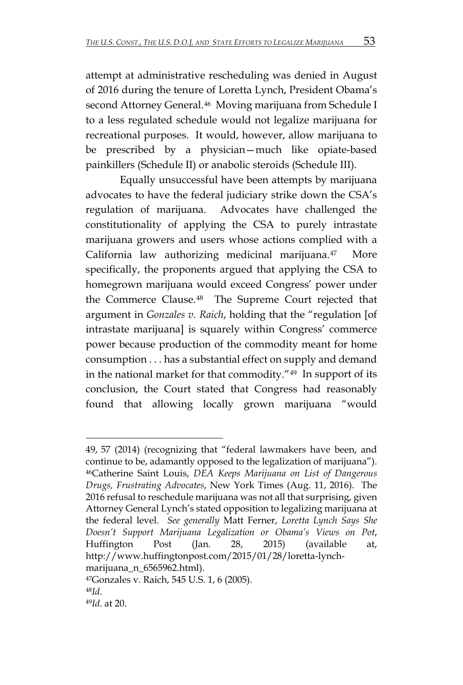attempt at administrative rescheduling was denied in August of 2016 during the tenure of Loretta Lynch, President Obama's second Attorney General.<sup>46</sup> Moving marijuana from Schedule I to a less regulated schedule would not legalize marijuana for recreational purposes. It would, however, allow marijuana to be prescribed by a physician—much like opiate-based painkillers (Schedule II) or anabolic steroids (Schedule III).

Equally unsuccessful have been attempts by marijuana advocates to have the federal judiciary strike down the CSA's regulation of marijuana. Advocates have challenged the constitutionality of applying the CSA to purely intrastate marijuana growers and users whose actions complied with a California law authorizing medicinal marijuana.[47](#page-11-1) More specifically, the proponents argued that applying the CSA to homegrown marijuana would exceed Congress' power under the Commerce Clause.[48](#page-11-2) The Supreme Court rejected that argument in *Gonzales v. Raich*, holding that the "regulation [of intrastate marijuana] is squarely within Congress' commerce power because production of the commodity meant for home consumption . . . has a substantial effect on supply and demand in the national market for that commodity."[49](#page-11-3) In support of its conclusion, the Court stated that Congress had reasonably found that allowing locally grown marijuana "would

<span id="page-11-0"></span> $\overline{a}$ 49, 57 (2014) (recognizing that "federal lawmakers have been, and continue to be, adamantly opposed to the legalization of marijuana"). 46Catherine Saint Louis, *DEA Keeps Marijuana on List of Dangerous Drugs, Frustrating Advocates*, New York Times (Aug. 11, 2016). The 2016 refusal to reschedule marijuana was not all that surprising, given Attorney General Lynch's stated opposition to legalizing marijuana at the federal level. *See generally* Matt Ferner, *Loretta Lynch Says She Doesn't Support Marijuana Legalization or Obama's Views on Pot*, Huffington Post (Jan. 28, 2015) (available at, http://www.huffingtonpost.com/2015/01/28/loretta-lynchmarijuana\_n\_6565962.html).

<span id="page-11-2"></span><span id="page-11-1"></span><sup>47</sup>Gonzales v. Raich, 545 U.S. 1, 6 (2005). 48*Id*. 49*Id*. at 20.

<span id="page-11-3"></span>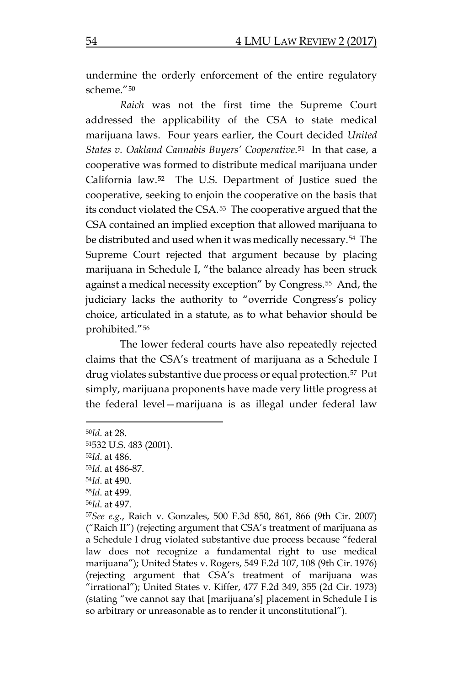undermine the orderly enforcement of the entire regulatory scheme."[50](#page-12-0)

*Raich* was not the first time the Supreme Court addressed the applicability of the CSA to state medical marijuana laws. Four years earlier, the Court decided *United States v. Oakland Cannabis Buyers' Cooperative*.[51](#page-12-1) In that case, a cooperative was formed to distribute medical marijuana under California law.[52](#page-12-2) The U.S. Department of Justice sued the cooperative, seeking to enjoin the cooperative on the basis that its conduct violated the CSA.[53](#page-12-3) The cooperative argued that the CSA contained an implied exception that allowed marijuana to be distributed and used when it was medically necessary.[54](#page-12-4) The Supreme Court rejected that argument because by placing marijuana in Schedule I, "the balance already has been struck against a medical necessity exception" by Congress.<sup>55</sup> And, the judiciary lacks the authority to "override Congress's policy choice, articulated in a statute, as to what behavior should be prohibited."[56](#page-12-6)

The lower federal courts have also repeatedly rejected claims that the CSA's treatment of marijuana as a Schedule I drug violates substantive due process or equal protection.<sup>57</sup> Put simply, marijuana proponents have made very little progress at the federal level—marijuana is as illegal under federal law

<span id="page-12-0"></span><sup>50</sup>*Id*. at 28.

<span id="page-12-1"></span><sup>51532</sup> U.S. 483 (2001).

<span id="page-12-2"></span><sup>52</sup>*Id*. at 486.

<span id="page-12-3"></span><sup>53</sup>*Id*. at 486-87.

<span id="page-12-4"></span><sup>54</sup>*Id*. at 490.

<span id="page-12-5"></span><sup>55</sup>*Id*. at 499.

<span id="page-12-6"></span><sup>56</sup>*Id*. at 497.

<span id="page-12-7"></span><sup>57</sup>*See e.g.*, Raich v. Gonzales, 500 F.3d 850, 861, 866 (9th Cir. 2007) ("Raich II") (rejecting argument that CSA's treatment of marijuana as a Schedule I drug violated substantive due process because "federal law does not recognize a fundamental right to use medical marijuana"); United States v. Rogers, 549 F.2d 107, 108 (9th Cir. 1976) (rejecting argument that CSA's treatment of marijuana was "irrational"); United States v. Kiffer, 477 F.2d 349, 355 (2d Cir. 1973) (stating "we cannot say that [marijuana's] placement in Schedule I is so arbitrary or unreasonable as to render it unconstitutional").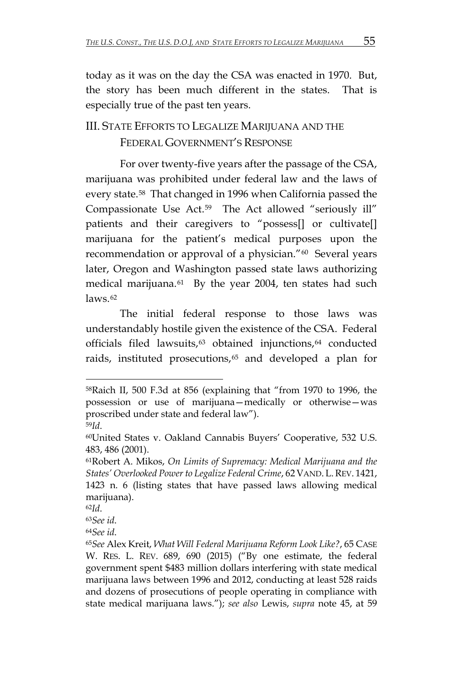today as it was on the day the CSA was enacted in 1970. But, the story has been much different in the states. That is especially true of the past ten years.

## III. STATE EFFORTS TO LEGALIZE MARIJUANA AND THE FEDERAL GOVERNMENT'S RESPONSE

For over twenty-five years after the passage of the CSA, marijuana was prohibited under federal law and the laws of every state.[58](#page-13-0) That changed in 1996 when California passed the Compassionate Use Act.[59](#page-13-1) The Act allowed "seriously ill" patients and their caregivers to "possess[] or cultivate[] marijuana for the patient's medical purposes upon the recommendation or approval of a physician."<sup>60</sup> Several years later, Oregon and Washington passed state laws authorizing medical marijuana.<sup>[61](#page-13-3)</sup> By the year 2004, ten states had such laws.[62](#page-13-4)

The initial federal response to those laws was understandably hostile given the existence of the CSA. Federal officials filed lawsuits,<sup>[63](#page-13-5)</sup> obtained injunctions,<sup>[64](#page-13-6)</sup> conducted raids, instituted prosecutions,<sup>[65](#page-13-7)</sup> and developed a plan for

<span id="page-13-7"></span>

<span id="page-13-0"></span><sup>58</sup>Raich II, 500 F.3d at 856 (explaining that "from 1970 to 1996, the possession or use of marijuana—medically or otherwise—was proscribed under state and federal law").

<span id="page-13-2"></span><span id="page-13-1"></span><sup>&</sup>lt;sup>59</sup>Id.<br><sup>60</sup>United States v. Oakland Cannabis Buyers' Cooperative, 532 U.S. 483, 486 (2001).

<span id="page-13-3"></span><sup>61</sup>Robert A. Mikos, *On Limits of Supremacy: Medical Marijuana and the States' Overlooked Power to Legalize Federal Crime*, 62 VAND. L.REV. 1421, 1423 n. 6 (listing states that have passed laws allowing medical marijuana).

<span id="page-13-6"></span><span id="page-13-5"></span>

<span id="page-13-4"></span><sup>&</sup>lt;sup>62</sup>Id.<br><sup>63</sup>See id.<br><sup>65</sup>See Alex Kreit, *What Will Federal Marijuana Reform Look Like?,* 65 CASE W. RES. L. REV. 689, 690 (2015) ("By one estimate, the federal government spent \$483 million dollars interfering with state medical marijuana laws between 1996 and 2012, conducting at least 528 raids and dozens of prosecutions of people operating in compliance with state medical marijuana laws."); *see also* Lewis, *supra* note 45, at 59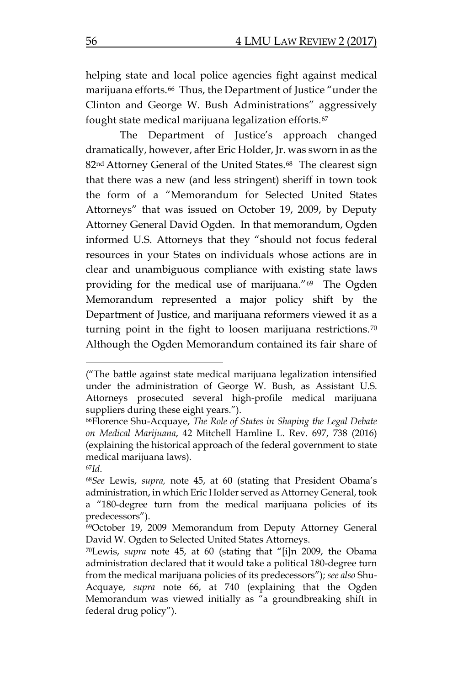helping state and local police agencies fight against medical marijuana efforts.<sup>[66](#page-14-0)</sup> Thus, the Department of Justice "under the Clinton and George W. Bush Administrations" aggressively fought state medical marijuana legalization efforts.[67](#page-14-1) 

The Department of Justice's approach changed dramatically, however, after Eric Holder, Jr. was sworn in as the 82<sup>nd</sup> Attorney General of the United States.<sup>[68](#page-14-2)</sup> The clearest sign that there was a new (and less stringent) sheriff in town took the form of a "Memorandum for Selected United States Attorneys" that was issued on October 19, 2009, by Deputy Attorney General David Ogden. In that memorandum, Ogden informed U.S. Attorneys that they "should not focus federal resources in your States on individuals whose actions are in clear and unambiguous compliance with existing state laws providing for the medical use of marijuana."[69](#page-14-3) The Ogden Memorandum represented a major policy shift by the Department of Justice, and marijuana reformers viewed it as a turning point in the fight to loosen marijuana restrictions.[70](#page-14-4) Although the Ogden Memorandum contained its fair share of

<sup>(&</sup>quot;The battle against state medical marijuana legalization intensified under the administration of George W. Bush, as Assistant U.S. Attorneys prosecuted several high-profile medical marijuana suppliers during these eight years.").

<span id="page-14-0"></span><sup>66</sup>Florence Shu-Acquaye, *The Role of States in Shaping the Legal Debate on Medical Marijuana*, 42 Mitchell Hamline L. Rev. 697, 738 (2016) (explaining the historical approach of the federal government to state medical marijuana laws).

<span id="page-14-2"></span><span id="page-14-1"></span><sup>67</sup>*Id*. 68*See* Lewis, *supra,* note 45, at 60 (stating that President Obama's administration, in which Eric Holder served as Attorney General, took a "180-degree turn from the medical marijuana policies of its predecessors").

<span id="page-14-3"></span><sup>69</sup>October 19, 2009 Memorandum from Deputy Attorney General David W. Ogden to Selected United States Attorneys.

<span id="page-14-4"></span><sup>70</sup>Lewis, *supra* note 45, at 60 (stating that "[i]n 2009, the Obama administration declared that it would take a political 180-degree turn from the medical marijuana policies of its predecessors"); *see also* Shu-Acquaye, *supra* note 66, at 740 (explaining that the Ogden Memorandum was viewed initially as "a groundbreaking shift in federal drug policy").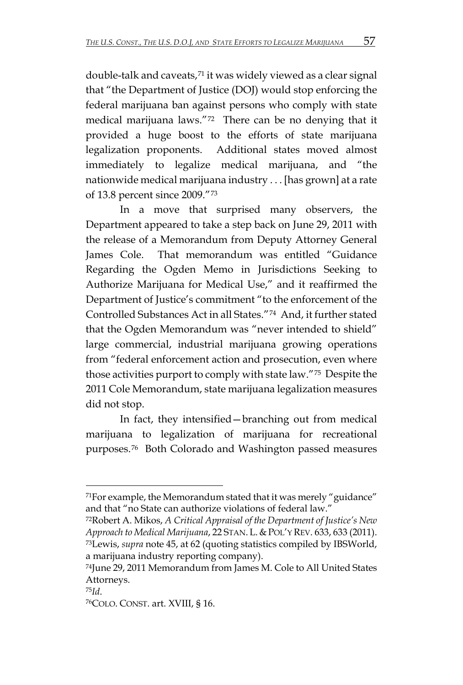double-talk and caveats,[71](#page-15-0) it was widely viewed as a clear signal that "the Department of Justice (DOJ) would stop enforcing the federal marijuana ban against persons who comply with state medical marijuana laws."[72](#page-15-1) There can be no denying that it provided a huge boost to the efforts of state marijuana legalization proponents. Additional states moved almost immediately to legalize medical marijuana, and "the nationwide medical marijuana industry . . . [has grown] at a rate of 13.8 percent since 2009."[73](#page-15-2) 

In a move that surprised many observers, the Department appeared to take a step back on June 29, 2011 with the release of a Memorandum from Deputy Attorney General James Cole. That memorandum was entitled "Guidance Regarding the Ogden Memo in Jurisdictions Seeking to Authorize Marijuana for Medical Use," and it reaffirmed the Department of Justice's commitment "to the enforcement of the Controlled Substances Act in all States."[74](#page-15-3) And, it further stated that the Ogden Memorandum was "never intended to shield" large commercial, industrial marijuana growing operations from "federal enforcement action and prosecution, even where those activities purport to comply with state law."[75](#page-15-4) Despite the 2011 Cole Memorandum, state marijuana legalization measures did not stop.

In fact, they intensified—branching out from medical marijuana to legalization of marijuana for recreational purposes.[76](#page-15-5) Both Colorado and Washington passed measures

<span id="page-15-0"></span> $71$ For example, the Memorandum stated that it was merely "guidance" and that "no State can authorize violations of federal law."

<span id="page-15-2"></span><span id="page-15-1"></span><sup>72</sup>Robert A. Mikos, *A Critical Appraisal of the Department of Justice's New Approach to Medical Marijuana*, 22 STAN. L. & POL'Y REV. 633, 633 (2011). 73Lewis, *supra* note 45, at 62 (quoting statistics compiled by IBSWorld, a marijuana industry reporting company).

<span id="page-15-3"></span><sup>74</sup>June 29, 2011 Memorandum from James M. Cole to All United States Attorneys.

<span id="page-15-5"></span><span id="page-15-4"></span><sup>&</sup>lt;sup>75</sup>Id.<br><sup>76</sup>COLO. CONST. art. XVIII, § 16.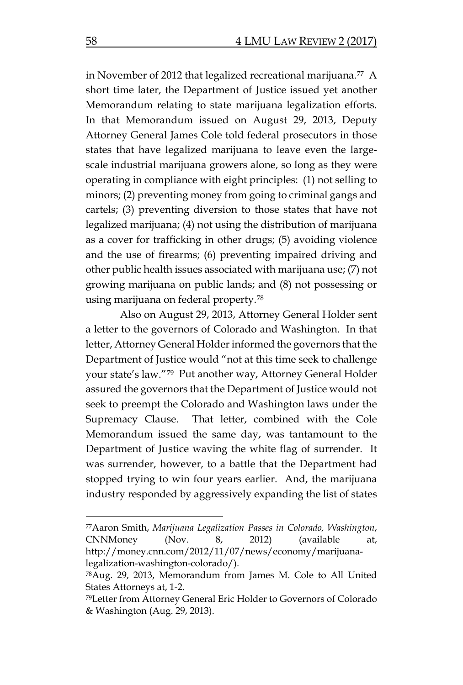in November of 2012 that legalized recreational marijuana.<sup>[77](#page-16-0)</sup> A short time later, the Department of Justice issued yet another Memorandum relating to state marijuana legalization efforts. In that Memorandum issued on August 29, 2013, Deputy Attorney General James Cole told federal prosecutors in those states that have legalized marijuana to leave even the largescale industrial marijuana growers alone, so long as they were operating in compliance with eight principles: (1) not selling to minors; (2) preventing money from going to criminal gangs and cartels; (3) preventing diversion to those states that have not legalized marijuana; (4) not using the distribution of marijuana as a cover for trafficking in other drugs; (5) avoiding violence and the use of firearms; (6) preventing impaired driving and other public health issues associated with marijuana use; (7) not growing marijuana on public lands; and (8) not possessing or using marijuana on federal property.[78](#page-16-1)

Also on August 29, 2013, Attorney General Holder sent a letter to the governors of Colorado and Washington. In that letter, Attorney General Holder informed the governors that the Department of Justice would "not at this time seek to challenge your state's law."[79](#page-16-2) Put another way, Attorney General Holder assured the governors that the Department of Justice would not seek to preempt the Colorado and Washington laws under the Supremacy Clause. That letter, combined with the Cole Memorandum issued the same day, was tantamount to the Department of Justice waving the white flag of surrender. It was surrender, however, to a battle that the Department had stopped trying to win four years earlier. And, the marijuana industry responded by aggressively expanding the list of states

<span id="page-16-0"></span><sup>77</sup>Aaron Smith, *Marijuana Legalization Passes in Colorado, Washington*, CNNMoney (Nov. 8, 2012) (available at, http://money.cnn.com/2012/11/07/news/economy/marijuanalegalization-washington-colorado/).

<span id="page-16-1"></span><sup>78</sup>Aug. 29, 2013, Memorandum from James M. Cole to All United States Attorneys at, 1-2.

<span id="page-16-2"></span><sup>79</sup>Letter from Attorney General Eric Holder to Governors of Colorado & Washington (Aug. 29, 2013).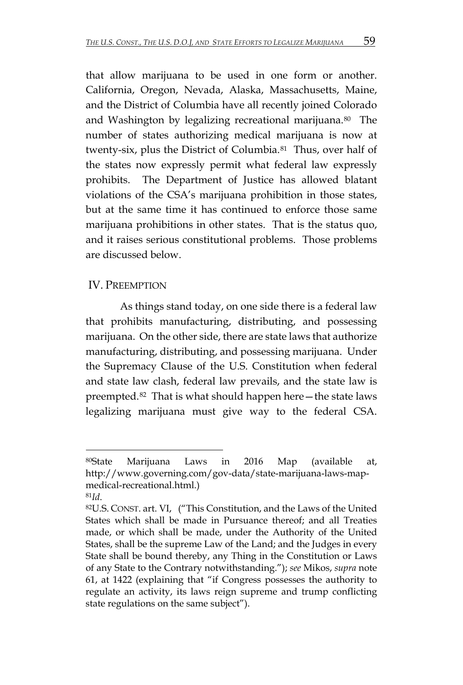that allow marijuana to be used in one form or another. California, Oregon, Nevada, Alaska, Massachusetts, Maine, and the District of Columbia have all recently joined Colorado and Washington by legalizing recreational marijuana.<sup>[80](#page-17-0)</sup> The number of states authorizing medical marijuana is now at twenty-six, plus the District of Columbia.[81](#page-17-1) Thus, over half of the states now expressly permit what federal law expressly prohibits. The Department of Justice has allowed blatant violations of the CSA's marijuana prohibition in those states, but at the same time it has continued to enforce those same marijuana prohibitions in other states. That is the status quo, and it raises serious constitutional problems. Those problems are discussed below.

#### IV. PREEMPTION

As things stand today, on one side there is a federal law that prohibits manufacturing, distributing, and possessing marijuana. On the other side, there are state laws that authorize manufacturing, distributing, and possessing marijuana. Under the Supremacy Clause of the U.S. Constitution when federal and state law clash, federal law prevails, and the state law is preempted.[82](#page-17-2) That is what should happen here—the state laws legalizing marijuana must give way to the federal CSA.

<span id="page-17-0"></span><sup>80</sup>State Marijuana Laws in 2016 Map (available at, http://www.governing.com/gov-data/state-marijuana-laws-mapmedical-recreational.html.)

<span id="page-17-2"></span><span id="page-17-1"></span><sup>&</sup>lt;sup>81</sup>Id.<br><sup>82</sup>U.S. CONST. art. VI, ("This Constitution, and the Laws of the United States which shall be made in Pursuance thereof; and all Treaties made, or which shall be made, under the Authority of the United States, shall be the supreme Law of the Land; and the Judges in every State shall be bound thereby, any Thing in the Constitution or Laws of any State to the Contrary notwithstanding."); *see* Mikos, *supra* note 61, at 1422 (explaining that "if Congress possesses the authority to regulate an activity, its laws reign supreme and trump conflicting state regulations on the same subject").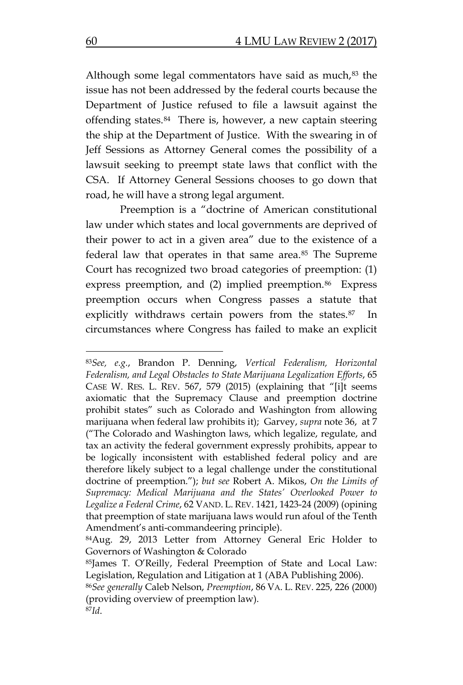Although some legal commentators have said as much, $83$  the issue has not been addressed by the federal courts because the Department of Justice refused to file a lawsuit against the offending states.[84](#page-18-1) There is, however, a new captain steering the ship at the Department of Justice. With the swearing in of Jeff Sessions as Attorney General comes the possibility of a lawsuit seeking to preempt state laws that conflict with the CSA. If Attorney General Sessions chooses to go down that road, he will have a strong legal argument.

Preemption is a "doctrine of American constitutional law under which states and local governments are deprived of their power to act in a given area" due to the existence of a federal law that operates in that same area.<sup>[85](#page-18-2)</sup> The Supreme Court has recognized two broad categories of preemption: (1) express preemption, and (2) implied preemption.<sup>[86](#page-18-3)</sup> Express preemption occurs when Congress passes a statute that explicitly withdraws certain powers from the states.<sup>87</sup> In circumstances where Congress has failed to make an explicit

<span id="page-18-0"></span><sup>83</sup>*See, e.g.*, Brandon P. Denning, *Vertical Federalism, Horizontal Federalism, and Legal Obstacles to State Marijuana Legalization Efforts*, 65 CASE W. RES. L. REV. 567, 579 (2015) (explaining that "[i]t seems axiomatic that the Supremacy Clause and preemption doctrine prohibit states" such as Colorado and Washington from allowing marijuana when federal law prohibits it); Garvey, *supra* note 36, at 7 ("The Colorado and Washington laws, which legalize, regulate, and tax an activity the federal government expressly prohibits, appear to be logically inconsistent with established federal policy and are therefore likely subject to a legal challenge under the constitutional doctrine of preemption."); *but see* Robert A. Mikos, *On the Limits of Supremacy: Medical Marijuana and the States' Overlooked Power to Legalize a Federal Crime*, 62 VAND. L. REV. 1421, 1423-24 (2009) (opining that preemption of state marijuana laws would run afoul of the Tenth Amendment's anti-commandeering principle).

<span id="page-18-1"></span><sup>84</sup>Aug. 29, 2013 Letter from Attorney General Eric Holder to Governors of Washington & Colorado

<span id="page-18-2"></span><sup>85</sup>James T. O'Reilly, Federal Preemption of State and Local Law: Legislation, Regulation and Litigation at 1 (ABA Publishing 2006).

<span id="page-18-4"></span><span id="page-18-3"></span><sup>86</sup>*See generally* Caleb Nelson, *Preemption*, 86 VA. L. REV. 225, 226 (2000) (providing overview of preemption law). 87*Id*.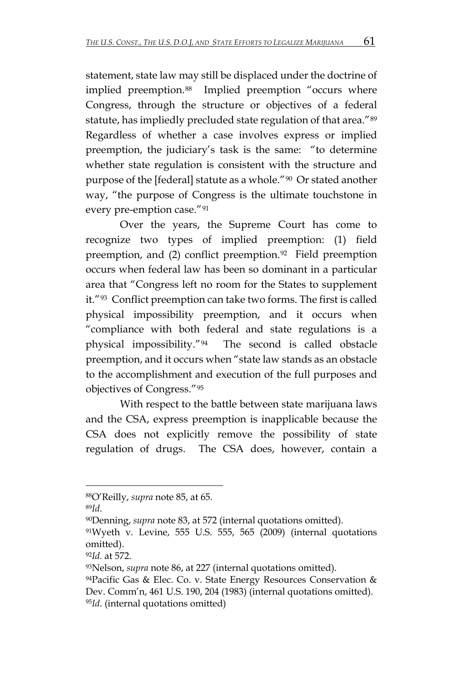statement, state law may still be displaced under the doctrine of implied preemption.<sup>88</sup> Implied preemption "occurs where Congress, through the structure or objectives of a federal statute, has impliedly precluded state regulation of that area."[89](#page-19-1) Regardless of whether a case involves express or implied preemption, the judiciary's task is the same: "to determine whether state regulation is consistent with the structure and purpose of the [federal] statute as a whole."[90](#page-19-2) Or stated another way, "the purpose of Congress is the ultimate touchstone in every pre-emption case."[91](#page-19-3) 

Over the years, the Supreme Court has come to recognize two types of implied preemption: (1) field preemption, and (2) conflict preemption.<sup>92</sup> Field preemption occurs when federal law has been so dominant in a particular area that "Congress left no room for the States to supplement it."[93](#page-19-5) Conflict preemption can take two forms. The first is called physical impossibility preemption, and it occurs when "compliance with both federal and state regulations is a physical impossibility."[94](#page-19-6) The second is called obstacle preemption, and it occurs when "state law stands as an obstacle to the accomplishment and execution of the full purposes and objectives of Congress."[95](#page-19-7)

With respect to the battle between state marijuana laws and the CSA, express preemption is inapplicable because the CSA does not explicitly remove the possibility of state regulation of drugs. The CSA does, however, contain a

 $\overline{a}$ 

<span id="page-19-4"></span><sup>92</sup>*Id*. at 572.

<span id="page-19-0"></span><sup>88</sup>O'Reilly, *supra* note 85, at 65.

<span id="page-19-2"></span><span id="page-19-1"></span><sup>&</sup>lt;sup>89</sup>Id.<br><sup>90</sup>Denning, *supra* note 83, at 572 (internal quotations omitted).

<span id="page-19-3"></span><sup>91</sup>Wyeth v. Levine, 555 U.S. 555, 565 (2009) (internal quotations omitted).

<span id="page-19-5"></span><sup>93</sup>Nelson, *supra* note 86, at 227 (internal quotations omitted).

<span id="page-19-7"></span><span id="page-19-6"></span><sup>94</sup>Pacific Gas & Elec. Co. v. State Energy Resources Conservation & Dev. Comm'n, 461 U.S. 190, 204 (1983) (internal quotations omitted). 95*Id*. (internal quotations omitted)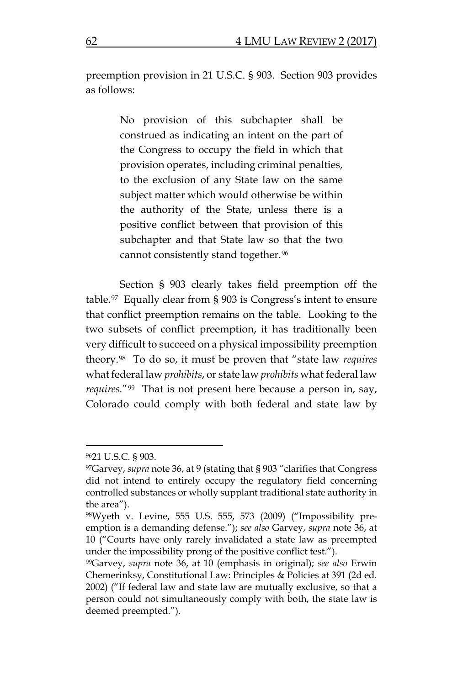preemption provision in 21 U.S.C. § 903. Section 903 provides as follows:

> No provision of this subchapter shall be construed as indicating an intent on the part of the Congress to occupy the field in which that provision operates, including criminal penalties, to the exclusion of any State law on the same subject matter which would otherwise be within the authority of the State, unless there is a positive conflict between that provision of this subchapter and that State law so that the two cannot consistently stand together.[96](#page-20-0)

Section § 903 clearly takes field preemption off the table.[97](#page-20-1) Equally clear from § 903 is Congress's intent to ensure that conflict preemption remains on the table. Looking to the two subsets of conflict preemption, it has traditionally been very difficult to succeed on a physical impossibility preemption theory.[98](#page-20-2) To do so, it must be proven that "state law *requires* what federal law *prohibits*, or state law *prohibits* what federal law *requires*."[99](#page-20-3) That is not present here because a person in, say, Colorado could comply with both federal and state law by

<span id="page-20-0"></span><sup>9621</sup> U.S.C. § 903.

<span id="page-20-1"></span><sup>97</sup>Garvey, *supra* note 36, at 9 (stating that § 903 "clarifies that Congress did not intend to entirely occupy the regulatory field concerning controlled substances or wholly supplant traditional state authority in the area").

<span id="page-20-2"></span><sup>98</sup>Wyeth v. Levine, 555 U.S. 555, 573 (2009) ("Impossibility preemption is a demanding defense."); *see also* Garvey, *supra* note 36, at 10 ("Courts have only rarely invalidated a state law as preempted under the impossibility prong of the positive conflict test.").

<span id="page-20-3"></span><sup>99</sup>Garvey, *supra* note 36, at 10 (emphasis in original); *see also* Erwin Chemerinksy, Constitutional Law: Principles & Policies at 391 (2d ed. 2002) ("If federal law and state law are mutually exclusive, so that a person could not simultaneously comply with both, the state law is deemed preempted.").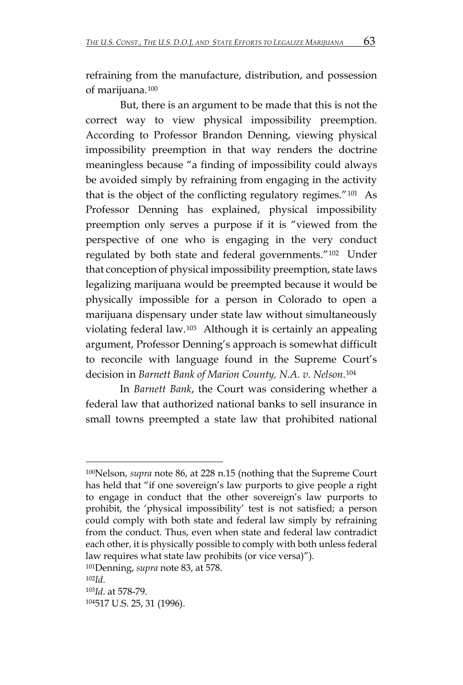refraining from the manufacture, distribution, and possession of marijuana.[100](#page-21-0) 

But, there is an argument to be made that this is not the correct way to view physical impossibility preemption. According to Professor Brandon Denning, viewing physical impossibility preemption in that way renders the doctrine meaningless because "a finding of impossibility could always be avoided simply by refraining from engaging in the activity that is the object of the conflicting regulatory regimes."[101](#page-21-1) As Professor Denning has explained, physical impossibility preemption only serves a purpose if it is "viewed from the perspective of one who is engaging in the very conduct regulated by both state and federal governments."[102](#page-21-2) Under that conception of physical impossibility preemption, state laws legalizing marijuana would be preempted because it would be physically impossible for a person in Colorado to open a marijuana dispensary under state law without simultaneously violating federal law.[103](#page-21-3) Although it is certainly an appealing argument, Professor Denning's approach is somewhat difficult to reconcile with language found in the Supreme Court's decision in *Barnett Bank of Marion County, N.A. v. Nelson*.[104](#page-21-4)

In *Barnett Bank*, the Court was considering whether a federal law that authorized national banks to sell insurance in small towns preempted a state law that prohibited national

<span id="page-21-1"></span>101Denning, *supra* note 83, at 578.

<span id="page-21-0"></span><sup>100</sup>Nelson, *supra* note 86, at 228 n.15 (nothing that the Supreme Court has held that "if one sovereign's law purports to give people a right to engage in conduct that the other sovereign's law purports to prohibit, the 'physical impossibility' test is not satisfied; a person could comply with both state and federal law simply by refraining from the conduct. Thus, even when state and federal law contradict each other, it is physically possible to comply with both unless federal law requires what state law prohibits (or vice versa)").

<span id="page-21-3"></span><span id="page-21-2"></span><sup>102</sup>*Id*. 103*Id*. at 578-79.

<span id="page-21-4"></span><sup>104517</sup> U.S. 25, 31 (1996).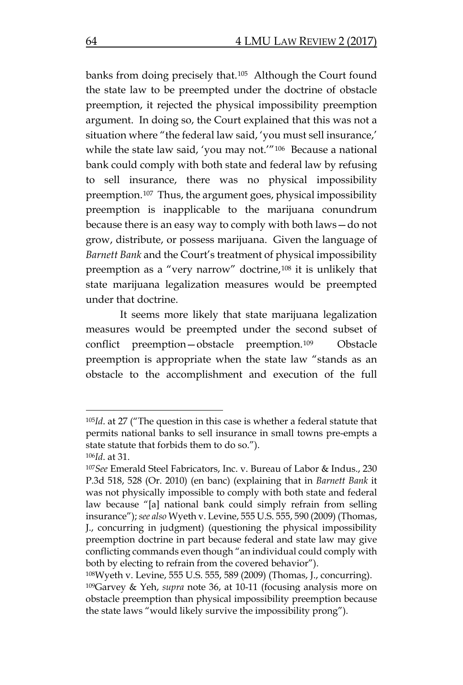banks from doing precisely that.[105](#page-22-0) Although the Court found the state law to be preempted under the doctrine of obstacle preemption, it rejected the physical impossibility preemption argument. In doing so, the Court explained that this was not a situation where "the federal law said, 'you must sell insurance,' while the state law said, 'you may not.'"[106](#page-22-1) Because a national bank could comply with both state and federal law by refusing to sell insurance, there was no physical impossibility preemption.[107](#page-22-2) Thus, the argument goes, physical impossibility preemption is inapplicable to the marijuana conundrum because there is an easy way to comply with both laws—do not grow, distribute, or possess marijuana. Given the language of *Barnett Bank* and the Court's treatment of physical impossibility preemption as a "very narrow" doctrine,<sup>[108](#page-22-3)</sup> it is unlikely that state marijuana legalization measures would be preempted under that doctrine.

It seems more likely that state marijuana legalization measures would be preempted under the second subset of conflict preemption—obstacle preemption.[109](#page-22-4) Obstacle preemption is appropriate when the state law "stands as an obstacle to the accomplishment and execution of the full

<span id="page-22-0"></span><sup>105</sup>*Id*. at 27 ("The question in this case is whether a federal statute that permits national banks to sell insurance in small towns pre-empts a state statute that forbids them to do so."). <sup>106</sup>*Id*. at 31.

<span id="page-22-2"></span><span id="page-22-1"></span><sup>107</sup>*See* Emerald Steel Fabricators, Inc. v. Bureau of Labor & Indus., 230 P.3d 518, 528 (Or. 2010) (en banc) (explaining that in *Barnett Bank* it was not physically impossible to comply with both state and federal law because "[a] national bank could simply refrain from selling insurance"); *see also* Wyeth v. Levine, 555 U.S. 555, 590 (2009) (Thomas, J., concurring in judgment) (questioning the physical impossibility preemption doctrine in part because federal and state law may give conflicting commands even though "an individual could comply with both by electing to refrain from the covered behavior").

<span id="page-22-4"></span><span id="page-22-3"></span><sup>108</sup>Wyeth v. Levine, 555 U.S. 555, 589 (2009) (Thomas, J., concurring). 109Garvey & Yeh, *supra* note 36, at 10-11 (focusing analysis more on obstacle preemption than physical impossibility preemption because the state laws "would likely survive the impossibility prong").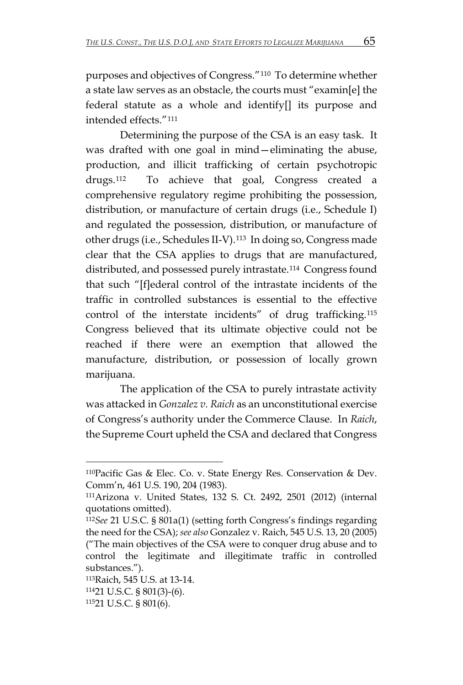purposes and objectives of Congress."[110](#page-23-0) To determine whether a state law serves as an obstacle, the courts must "examin[e] the federal statute as a whole and identify[] its purpose and intended effects."[111](#page-23-1)

Determining the purpose of the CSA is an easy task. It was drafted with one goal in mind—eliminating the abuse, production, and illicit trafficking of certain psychotropic drugs.[112](#page-23-2) To achieve that goal, Congress created a comprehensive regulatory regime prohibiting the possession, distribution, or manufacture of certain drugs (i.e., Schedule I) and regulated the possession, distribution, or manufacture of other drugs (i.e., Schedules II-V).[113](#page-23-3) In doing so, Congress made clear that the CSA applies to drugs that are manufactured, distributed, and possessed purely intrastate.[114](#page-23-4) Congress found that such "[f]ederal control of the intrastate incidents of the traffic in controlled substances is essential to the effective control of the interstate incidents" of drug trafficking.[115](#page-23-5) Congress believed that its ultimate objective could not be reached if there were an exemption that allowed the manufacture, distribution, or possession of locally grown marijuana.

The application of the CSA to purely intrastate activity was attacked in *Gonzalez v. Raich* as an unconstitutional exercise of Congress's authority under the Commerce Clause. In *Raich*, the Supreme Court upheld the CSA and declared that Congress

<span id="page-23-0"></span><sup>110</sup>Pacific Gas & Elec. Co. v. State Energy Res. Conservation & Dev. Comm'n, 461 U.S. 190, 204 (1983).

<span id="page-23-1"></span><sup>111</sup>Arizona v. United States, 132 S. Ct. 2492, 2501 (2012) (internal quotations omitted).

<span id="page-23-2"></span><sup>112</sup>*See* 21 U.S.C. § 801a(1) (setting forth Congress's findings regarding the need for the CSA); *see also* Gonzalez v. Raich, 545 U.S. 13, 20 (2005) ("The main objectives of the CSA were to conquer drug abuse and to control the legitimate and illegitimate traffic in controlled substances.").

<span id="page-23-3"></span><sup>113</sup>Raich, 545 U.S. at 13-14.

<span id="page-23-4"></span><sup>11421</sup> U.S.C. § 801(3)-(6).

<span id="page-23-5"></span><sup>11521</sup> U.S.C. § 801(6).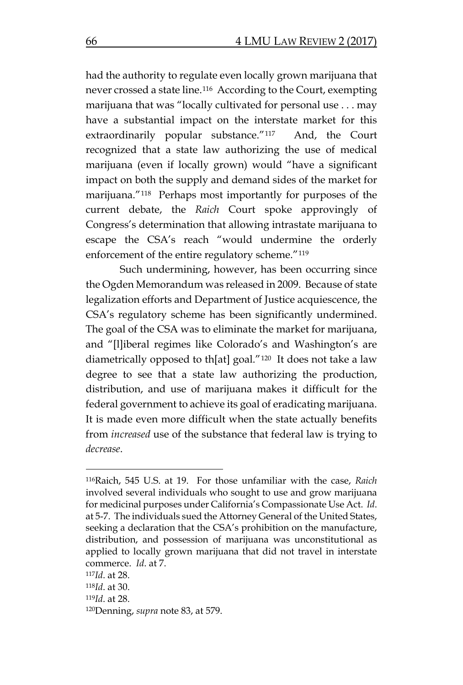had the authority to regulate even locally grown marijuana that never crossed a state line.[116](#page-24-0) According to the Court, exempting marijuana that was "locally cultivated for personal use . . . may have a substantial impact on the interstate market for this extraordinarily popular substance."[117](#page-24-1) And, the Court recognized that a state law authorizing the use of medical marijuana (even if locally grown) would "have a significant impact on both the supply and demand sides of the market for marijuana."[118](#page-24-2) Perhaps most importantly for purposes of the current debate, the *Raich* Court spoke approvingly of Congress's determination that allowing intrastate marijuana to escape the CSA's reach "would undermine the orderly enforcement of the entire regulatory scheme."[119](#page-24-3)

Such undermining, however, has been occurring since the Ogden Memorandum was released in 2009. Because of state legalization efforts and Department of Justice acquiescence, the CSA's regulatory scheme has been significantly undermined. The goal of the CSA was to eliminate the market for marijuana, and "[l]iberal regimes like Colorado's and Washington's are diametrically opposed to th[at] goal."[120](#page-24-4) It does not take a law degree to see that a state law authorizing the production, distribution, and use of marijuana makes it difficult for the federal government to achieve its goal of eradicating marijuana. It is made even more difficult when the state actually benefits from *increased* use of the substance that federal law is trying to *decrease*.

<span id="page-24-0"></span><sup>116</sup>Raich, 545 U.S. at 19. For those unfamiliar with the case, *Raich* involved several individuals who sought to use and grow marijuana for medicinal purposes under California's Compassionate Use Act. *Id*. at 5-7. The individuals sued the Attorney General of the United States, seeking a declaration that the CSA's prohibition on the manufacture, distribution, and possession of marijuana was unconstitutional as applied to locally grown marijuana that did not travel in interstate commerce. *Id*. at 7.

<span id="page-24-1"></span><sup>117</sup>*Id*. at 28.

<span id="page-24-3"></span><span id="page-24-2"></span><sup>118</sup>*Id*. at 30.

<sup>119</sup>*Id*. at 28.

<span id="page-24-4"></span><sup>120</sup>Denning, *supra* note 83, at 579.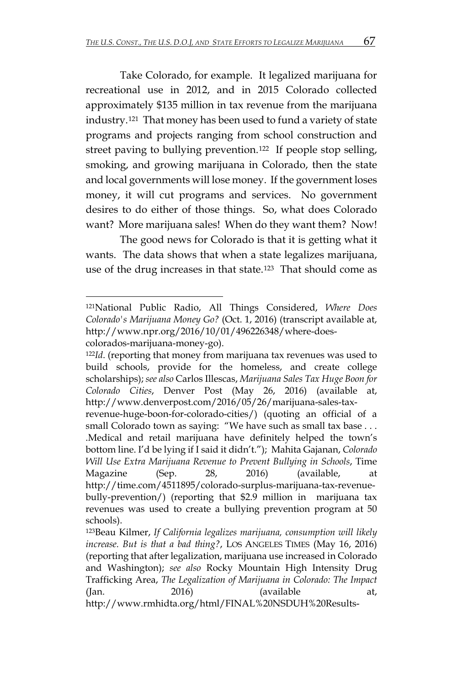Take Colorado, for example. It legalized marijuana for recreational use in 2012, and in 2015 Colorado collected approximately \$135 million in tax revenue from the marijuana industry.[121](#page-25-0) That money has been used to fund a variety of state programs and projects ranging from school construction and street paving to bullying prevention.[122](#page-25-1) If people stop selling, smoking, and growing marijuana in Colorado, then the state and local governments will lose money. If the government loses money, it will cut programs and services. No government desires to do either of those things. So, what does Colorado want? More marijuana sales! When do they want them? Now!

The good news for Colorado is that it is getting what it wants. The data shows that when a state legalizes marijuana, use of the drug increases in that state.[123](#page-25-2) That should come as

<span id="page-25-0"></span><sup>121</sup>National Public Radio, All Things Considered, *Where Does Colorado's Marijuana Money Go?* (Oct. 1, 2016) (transcript available at, http://www.npr.org/2016/10/01/496226348/where-doescolorados-marijuana-money-go).

<span id="page-25-1"></span><sup>122</sup>*Id*. (reporting that money from marijuana tax revenues was used to build schools, provide for the homeless, and create college scholarships); *see also* Carlos Illescas, *Marijuana Sales Tax Huge Boon for Colorado Cities*, Denver Post (May 26, 2016) (available at, http://www.denverpost.com/2016/05/26/marijuana-sales-tax-

revenue-huge-boon-for-colorado-cities/) (quoting an official of a small Colorado town as saying: "We have such as small tax base . . . .Medical and retail marijuana have definitely helped the town's bottom line. I'd be lying if I said it didn't."); Mahita Gajanan, *Colorado Will Use Extra Marijuana Revenue to Prevent Bullying in Schools*, Time Magazine (Sep. 28, 2016) (available, at http://time.com/4511895/colorado-surplus-marijuana-tax-revenuebully-prevention/) (reporting that \$2.9 million in marijuana tax revenues was used to create a bullying prevention program at 50

<span id="page-25-2"></span>schools). 123Beau Kilmer, *If California legalizes marijuana, consumption will likely increase. But is that a bad thing?*, LOS ANGELES TIMES (May 16, 2016) (reporting that after legalization, marijuana use increased in Colorado and Washington); *see also* Rocky Mountain High Intensity Drug Trafficking Area, *The Legalization of Marijuana in Colorado: The Impact*  (Jan. 2016) (available at, http://www.rmhidta.org/html/FINAL%20NSDUH%20Results-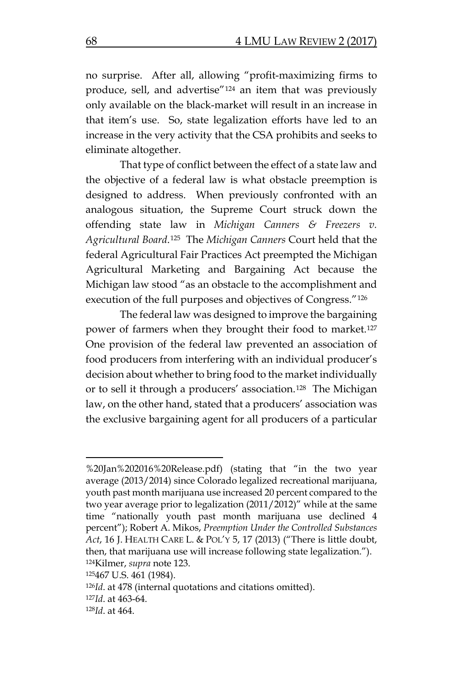no surprise. After all, allowing "profit-maximizing firms to produce, sell, and advertise"[124](#page-26-0) an item that was previously only available on the black-market will result in an increase in that item's use. So, state legalization efforts have led to an increase in the very activity that the CSA prohibits and seeks to eliminate altogether.

That type of conflict between the effect of a state law and the objective of a federal law is what obstacle preemption is designed to address. When previously confronted with an analogous situation, the Supreme Court struck down the offending state law in *Michigan Canners & Freezers v. Agricultural Board*.[125](#page-26-1) The *Michigan Canners* Court held that the federal Agricultural Fair Practices Act preempted the Michigan Agricultural Marketing and Bargaining Act because the Michigan law stood "as an obstacle to the accomplishment and execution of the full purposes and objectives of Congress."[126](#page-26-2)

The federal law was designed to improve the bargaining power of farmers when they brought their food to market[.127](#page-26-3) One provision of the federal law prevented an association of food producers from interfering with an individual producer's decision about whether to bring food to the market individually or to sell it through a producers' association.[128](#page-26-4) The Michigan law, on the other hand, stated that a producers' association was the exclusive bargaining agent for all producers of a particular

<sup>%20</sup>Jan%202016%20Release.pdf) (stating that "in the two year average (2013/2014) since Colorado legalized recreational marijuana, youth past month marijuana use increased 20 percent compared to the two year average prior to legalization (2011/2012)" while at the same time "nationally youth past month marijuana use declined 4 percent"); Robert A. Mikos, *Preemption Under the Controlled Substances Act*, 16 J. HEALTH CARE L. & POL'Y 5, 17 (2013) ("There is little doubt, then, that marijuana use will increase following state legalization."). 124Kilmer, *supra* note 123.

<span id="page-26-1"></span><span id="page-26-0"></span><sup>125467</sup> U.S. 461 (1984).

<span id="page-26-2"></span><sup>126</sup>*Id*. at 478 (internal quotations and citations omitted).

<span id="page-26-3"></span><sup>127</sup>*Id*. at 463-64.

<span id="page-26-4"></span><sup>128</sup>*Id*. at 464.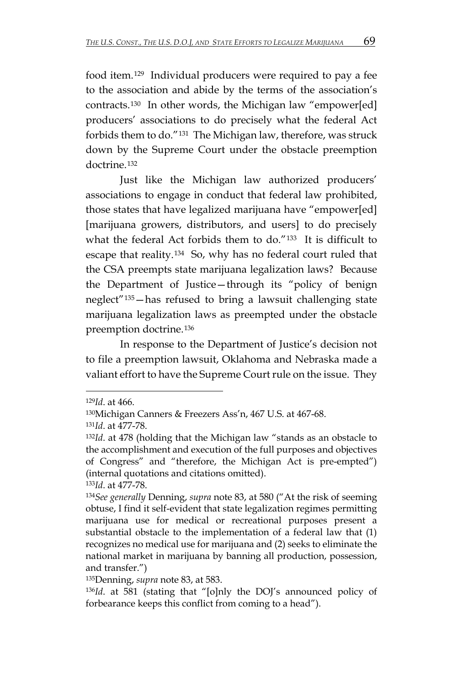food item.[129](#page-27-0) Individual producers were required to pay a fee to the association and abide by the terms of the association's contracts.[130](#page-27-1) In other words, the Michigan law "empower[ed] producers' associations to do precisely what the federal Act forbids them to do."[131](#page-27-2) The Michigan law, therefore, was struck down by the Supreme Court under the obstacle preemption doctrine.<sup>[132](#page-27-3)</sup>

Just like the Michigan law authorized producers' associations to engage in conduct that federal law prohibited, those states that have legalized marijuana have "empower[ed] [marijuana growers, distributors, and users] to do precisely what the federal Act forbids them to do."[133](#page-27-4) It is difficult to escape that reality.[134](#page-27-5) So, why has no federal court ruled that the CSA preempts state marijuana legalization laws? Because the Department of Justice—through its "policy of benign neglect"[135](#page-27-6)—has refused to bring a lawsuit challenging state marijuana legalization laws as preempted under the obstacle preemption doctrine.[136](#page-27-7)

In response to the Department of Justice's decision not to file a preemption lawsuit, Oklahoma and Nebraska made a valiant effort to have the Supreme Court rule on the issue. They

<span id="page-27-0"></span><sup>129</sup>*Id*. at 466.

<span id="page-27-2"></span><span id="page-27-1"></span><sup>130</sup>Michigan Canners & Freezers Ass'n, 467 U.S. at 467-68.

<sup>131</sup>*Id*. at 477-78.

<span id="page-27-3"></span><sup>132</sup>*Id*. at 478 (holding that the Michigan law "stands as an obstacle to the accomplishment and execution of the full purposes and objectives of Congress" and "therefore, the Michigan Act is pre-empted") (internal quotations and citations omitted).

<span id="page-27-4"></span><sup>133</sup>*Id*. at 477-78.

<span id="page-27-5"></span><sup>134</sup>*See generally* Denning, *supra* note 83, at 580 ("At the risk of seeming obtuse, I find it self-evident that state legalization regimes permitting marijuana use for medical or recreational purposes present a substantial obstacle to the implementation of a federal law that (1) recognizes no medical use for marijuana and (2) seeks to eliminate the national market in marijuana by banning all production, possession, and transfer.")

<span id="page-27-6"></span><sup>135</sup>Denning, *supra* note 83, at 583.

<span id="page-27-7"></span><sup>136</sup>*Id*. at 581 (stating that "[o]nly the DOJ's announced policy of forbearance keeps this conflict from coming to a head").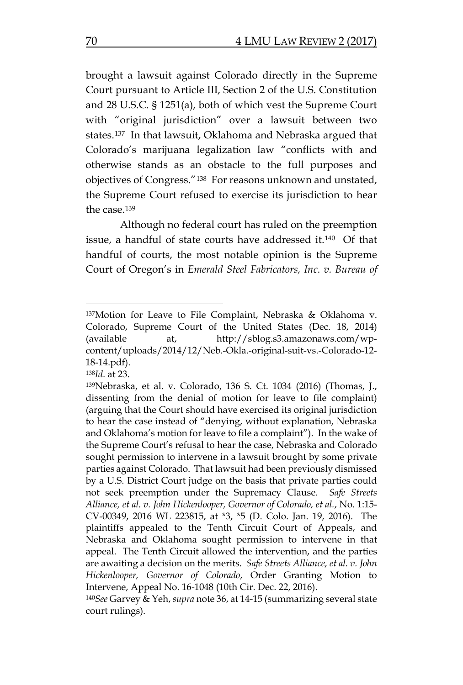brought a lawsuit against Colorado directly in the Supreme Court pursuant to Article III, Section 2 of the U.S. Constitution and 28 U.S.C. § 1251(a), both of which vest the Supreme Court with "original jurisdiction" over a lawsuit between two states.[137](#page-28-0) In that lawsuit, Oklahoma and Nebraska argued that Colorado's marijuana legalization law "conflicts with and otherwise stands as an obstacle to the full purposes and objectives of Congress."[138](#page-28-1) For reasons unknown and unstated, the Supreme Court refused to exercise its jurisdiction to hear the case.[139](#page-28-2)

Although no federal court has ruled on the preemption issue, a handful of state courts have addressed it.[140](#page-28-3) Of that handful of courts, the most notable opinion is the Supreme Court of Oregon's in *Emerald Steel Fabricators, Inc. v. Bureau of* 

<span id="page-28-1"></span><sup>138</sup>*Id*. at 23.

<span id="page-28-0"></span><sup>137</sup> Motion for Leave to File Complaint, Nebraska & Oklahoma v. Colorado, Supreme Court of the United States (Dec. 18, 2014) (available at, http://sblog.s3.amazonaws.com/wpcontent/uploads/2014/12/Neb.-Okla.-original-suit-vs.-Colorado-12- 18-14.pdf).

<span id="page-28-2"></span><sup>139</sup>Nebraska, et al. v. Colorado, 136 S. Ct. 1034 (2016) (Thomas, J., dissenting from the denial of motion for leave to file complaint) (arguing that the Court should have exercised its original jurisdiction to hear the case instead of "denying, without explanation, Nebraska and Oklahoma's motion for leave to file a complaint"). In the wake of the Supreme Court's refusal to hear the case, Nebraska and Colorado sought permission to intervene in a lawsuit brought by some private parties against Colorado. That lawsuit had been previously dismissed by a U.S. District Court judge on the basis that private parties could not seek preemption under the Supremacy Clause. *Safe Streets Alliance, et al. v. John Hickenlooper, Governor of Colorado, et al.*, No. 1:15- CV-00349, 2016 WL 223815, at \*3, \*5 (D. Colo. Jan. 19, 2016). The plaintiffs appealed to the Tenth Circuit Court of Appeals, and Nebraska and Oklahoma sought permission to intervene in that appeal. The Tenth Circuit allowed the intervention, and the parties are awaiting a decision on the merits. *Safe Streets Alliance, et al. v. John Hickenlooper, Governor of Colorado*, Order Granting Motion to Intervene, Appeal No. 16-1048 (10th Cir. Dec. 22, 2016).

<span id="page-28-3"></span><sup>140</sup>*See* Garvey & Yeh, *supra* note 36, at 14-15 (summarizing several state court rulings).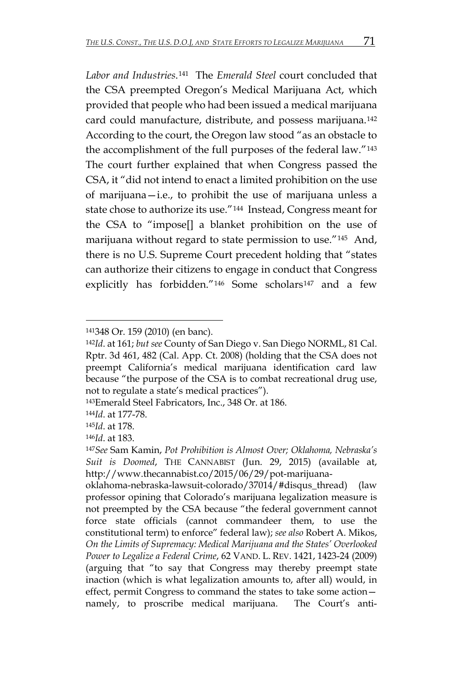*Labor and Industries*.[141](#page-29-0) The *Emerald Steel* court concluded that the CSA preempted Oregon's Medical Marijuana Act, which provided that people who had been issued a medical marijuana card could manufacture, distribute, and possess marijuana.[142](#page-29-1) According to the court, the Oregon law stood "as an obstacle to the accomplishment of the full purposes of the federal law."[143](#page-29-2) The court further explained that when Congress passed the CSA, it "did not intend to enact a limited prohibition on the use of marijuana—i.e., to prohibit the use of marijuana unless a state chose to authorize its use."[144](#page-29-3) Instead, Congress meant for the CSA to "impose[] a blanket prohibition on the use of marijuana without regard to state permission to use."[145](#page-29-4) And, there is no U.S. Supreme Court precedent holding that "states can authorize their citizens to engage in conduct that Congress explicitly has forbidden."<sup>[146](#page-29-5)</sup> Some scholars<sup>[147](#page-29-6)</sup> and a few

oklahoma-nebraska-lawsuit-colorado/37014/#disqus\_thread) (law professor opining that Colorado's marijuana legalization measure is not preempted by the CSA because "the federal government cannot force state officials (cannot commandeer them, to use the constitutional term) to enforce" federal law); *see also* Robert A. Mikos, *On the Limits of Supremacy: Medical Marijuana and the States' Overlooked Power to Legalize a Federal Crime*, 62 VAND. L. REV. 1421, 1423-24 (2009) (arguing that "to say that Congress may thereby preempt state inaction (which is what legalization amounts to, after all) would, in effect, permit Congress to command the states to take some action namely, to proscribe medical marijuana. The Court's anti-

<span id="page-29-0"></span> $\overline{a}$ 141348 Or. 159 (2010) (en banc).

<span id="page-29-1"></span><sup>142</sup>*Id*. at 161; *but see* County of San Diego v. San Diego NORML, 81 Cal. Rptr. 3d 461, 482 (Cal. App. Ct. 2008) (holding that the CSA does not preempt California's medical marijuana identification card law because "the purpose of the CSA is to combat recreational drug use, not to regulate a state's medical practices").

<span id="page-29-2"></span><sup>143</sup>Emerald Steel Fabricators, Inc., 348 Or. at 186.

<span id="page-29-3"></span><sup>144</sup>*Id*. at 177-78.

<span id="page-29-5"></span><span id="page-29-4"></span><sup>145</sup>*Id*. at 178.

<sup>146</sup>*Id*. at 183.

<span id="page-29-6"></span><sup>147</sup>*See* Sam Kamin, *Pot Prohibition is Almost Over; Oklahoma, Nebraska's Suit is Doomed*, THE CANNABIST (Jun. 29, 2015) (available at, http://www.thecannabist.co/2015/06/29/pot-marijuana-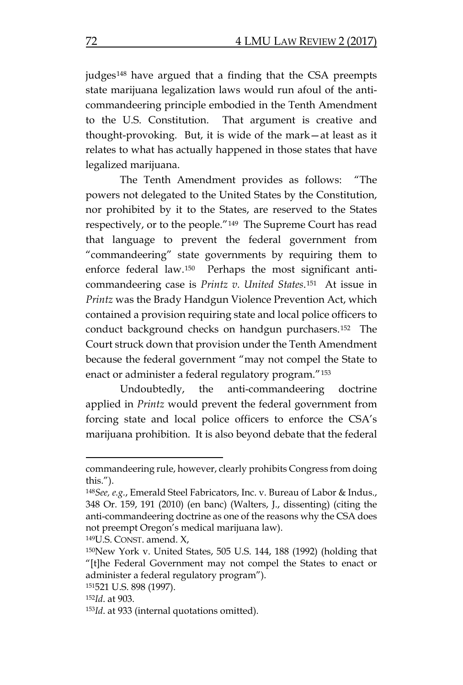judges[148](#page-30-0) have argued that a finding that the CSA preempts state marijuana legalization laws would run afoul of the anticommandeering principle embodied in the Tenth Amendment to the U.S. Constitution. That argument is creative and thought-provoking. But, it is wide of the mark—at least as it relates to what has actually happened in those states that have legalized marijuana.

The Tenth Amendment provides as follows: "The powers not delegated to the United States by the Constitution, nor prohibited by it to the States, are reserved to the States respectively, or to the people."[149](#page-30-1) The Supreme Court has read that language to prevent the federal government from "commandeering" state governments by requiring them to enforce federal law.[150](#page-30-2) Perhaps the most significant anticommandeering case is *Printz v. United States*.[151](#page-30-3) At issue in *Printz* was the Brady Handgun Violence Prevention Act, which contained a provision requiring state and local police officers to conduct background checks on handgun purchasers.[152](#page-30-4) The Court struck down that provision under the Tenth Amendment because the federal government "may not compel the State to enact or administer a federal regulatory program."[153](#page-30-5)

Undoubtedly, the anti-commandeering doctrine applied in *Printz* would prevent the federal government from forcing state and local police officers to enforce the CSA's marijuana prohibition. It is also beyond debate that the federal

<span id="page-30-1"></span>149U.S. CONST. amend. X,

commandeering rule, however, clearly prohibits Congress from doing this.").

<span id="page-30-0"></span><sup>148</sup>*See, e.g.*, Emerald Steel Fabricators, Inc. v. Bureau of Labor & Indus., 348 Or. 159, 191 (2010) (en banc) (Walters, J., dissenting) (citing the anti-commandeering doctrine as one of the reasons why the CSA does not preempt Oregon's medical marijuana law).

<span id="page-30-2"></span><sup>150</sup>New York v. United States, 505 U.S. 144, 188 (1992) (holding that "[t]he Federal Government may not compel the States to enact or administer a federal regulatory program").

<span id="page-30-3"></span><sup>151521</sup> U.S. 898 (1997).

<span id="page-30-4"></span><sup>152</sup>*Id*. at 903.

<span id="page-30-5"></span><sup>153</sup>*Id*. at 933 (internal quotations omitted).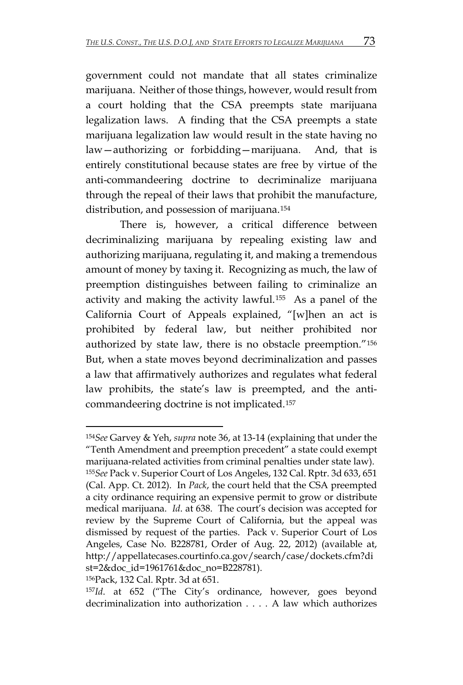government could not mandate that all states criminalize marijuana. Neither of those things, however, would result from a court holding that the CSA preempts state marijuana legalization laws. A finding that the CSA preempts a state marijuana legalization law would result in the state having no law—authorizing or forbidding—marijuana. And, that is entirely constitutional because states are free by virtue of the anti-commandeering doctrine to decriminalize marijuana through the repeal of their laws that prohibit the manufacture, distribution, and possession of marijuana.[154](#page-31-0)

There is, however, a critical difference between decriminalizing marijuana by repealing existing law and authorizing marijuana, regulating it, and making a tremendous amount of money by taxing it. Recognizing as much, the law of preemption distinguishes between failing to criminalize an activity and making the activity lawful.[155](#page-31-1) As a panel of the California Court of Appeals explained, "[w]hen an act is prohibited by federal law, but neither prohibited nor authorized by state law, there is no obstacle preemption."[156](#page-31-2) But, when a state moves beyond decriminalization and passes a law that affirmatively authorizes and regulates what federal law prohibits, the state's law is preempted, and the anticommandeering doctrine is not implicated.[157](#page-31-3) 

<span id="page-31-1"></span><span id="page-31-0"></span><sup>154</sup>*See* Garvey & Yeh, *supra* note 36, at 13-14 (explaining that under the "Tenth Amendment and preemption precedent" a state could exempt marijuana-related activities from criminal penalties under state law). <sup>155</sup>*See* Pack v. Superior Court of Los Angeles, 132 Cal. Rptr. 3d 633, 651 (Cal. App. Ct. 2012). In *Pack*, the court held that the CSA preempted a city ordinance requiring an expensive permit to grow or distribute medical marijuana. *Id*. at 638. The court's decision was accepted for review by the Supreme Court of California, but the appeal was dismissed by request of the parties. Pack v. Superior Court of Los Angeles, Case No. B228781, Order of Aug. 22, 2012) (available at, http://appellatecases.courtinfo.ca.gov/search/case/dockets.cfm?di st=2&doc\_id=1961761&doc\_no=B228781).

<span id="page-31-2"></span><sup>156</sup>Pack, 132 Cal. Rptr. 3d at 651.

<span id="page-31-3"></span><sup>157</sup>*Id*. at 652 ("The City's ordinance, however, goes beyond decriminalization into authorization . . . . A law which authorizes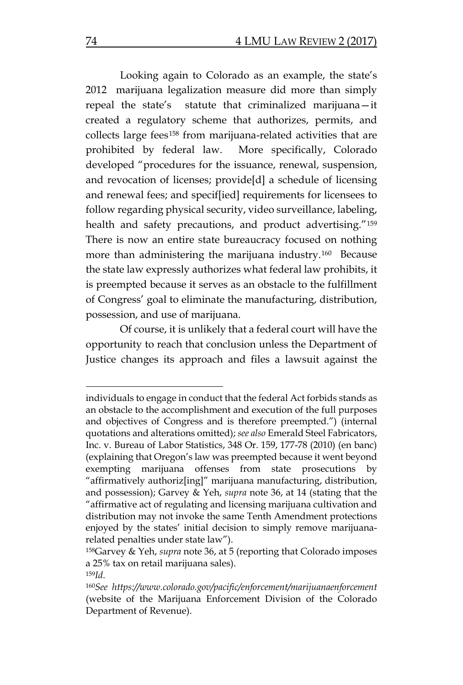Looking again to Colorado as an example, the state's 2012 marijuana legalization measure did more than simply repeal the state's statute that criminalized marijuana—it created a regulatory scheme that authorizes, permits, and collects large fees[158](#page-32-0) from marijuana-related activities that are prohibited by federal law. More specifically, Colorado developed "procedures for the issuance, renewal, suspension, and revocation of licenses; provide[d] a schedule of licensing and renewal fees; and specif[ied] requirements for licensees to follow regarding physical security, video surveillance, labeling, health and safety precautions, and product advertising."[159](#page-32-1) There is now an entire state bureaucracy focused on nothing more than administering the marijuana industry.<sup>[160](#page-32-2)</sup> Because the state law expressly authorizes what federal law prohibits, it is preempted because it serves as an obstacle to the fulfillment of Congress' goal to eliminate the manufacturing, distribution, possession, and use of marijuana.

Of course, it is unlikely that a federal court will have the opportunity to reach that conclusion unless the Department of Justice changes its approach and files a lawsuit against the

individuals to engage in conduct that the federal Act forbids stands as an obstacle to the accomplishment and execution of the full purposes and objectives of Congress and is therefore preempted.") (internal quotations and alterations omitted); *see also* Emerald Steel Fabricators, Inc. v. Bureau of Labor Statistics, 348 Or. 159, 177-78 (2010) (en banc) (explaining that Oregon's law was preempted because it went beyond exempting marijuana offenses from state prosecutions by "affirmatively authoriz[ing]" marijuana manufacturing, distribution, and possession); Garvey & Yeh, *supra* note 36, at 14 (stating that the "affirmative act of regulating and licensing marijuana cultivation and distribution may not invoke the same Tenth Amendment protections enjoyed by the states' initial decision to simply remove marijuanarelated penalties under state law").

<span id="page-32-0"></span><sup>158</sup>Garvey & Yeh, *supra* note 36, at 5 (reporting that Colorado imposes a 25% tax on retail marijuana sales).

<span id="page-32-2"></span><span id="page-32-1"></span><sup>159</sup>*Id*. 160*See https://www.colorado.gov/pacific/enforcement/marijuanaenforcement*  (website of the Marijuana Enforcement Division of the Colorado Department of Revenue).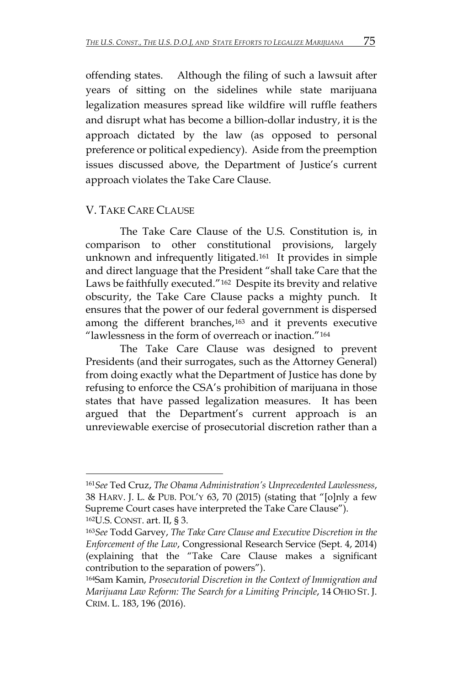offending states. Although the filing of such a lawsuit after years of sitting on the sidelines while state marijuana legalization measures spread like wildfire will ruffle feathers and disrupt what has become a billion-dollar industry, it is the approach dictated by the law (as opposed to personal preference or political expediency). Aside from the preemption issues discussed above, the Department of Justice's current approach violates the Take Care Clause.

## V. TAKE CARE CLAUSE

 $\overline{a}$ 

The Take Care Clause of the U.S. Constitution is, in comparison to other constitutional provisions, largely unknown and infrequently litigated.[161](#page-33-0) It provides in simple and direct language that the President "shall take Care that the Laws be faithfully executed."[162](#page-33-1) Despite its brevity and relative obscurity, the Take Care Clause packs a mighty punch. It ensures that the power of our federal government is dispersed among the different branches,[163](#page-33-2) and it prevents executive "lawlessness in the form of overreach or inaction."[164](#page-33-3) 

The Take Care Clause was designed to prevent Presidents (and their surrogates, such as the Attorney General) from doing exactly what the Department of Justice has done by refusing to enforce the CSA's prohibition of marijuana in those states that have passed legalization measures. It has been argued that the Department's current approach is an unreviewable exercise of prosecutorial discretion rather than a

<span id="page-33-0"></span><sup>161</sup>*See* Ted Cruz, *The Obama Administration's Unprecedented Lawlessness*, 38 HARV. J. L. & PUB. POL'Y 63, 70 (2015) (stating that "[o]nly a few Supreme Court cases have interpreted the Take Care Clause"). 162U.S. CONST. art. II, § 3.

<span id="page-33-2"></span><span id="page-33-1"></span><sup>163</sup>*See* Todd Garvey, *The Take Care Clause and Executive Discretion in the Enforcement of the Law*, Congressional Research Service (Sept. 4, 2014) (explaining that the "Take Care Clause makes a significant contribution to the separation of powers").

<span id="page-33-3"></span><sup>164</sup>Sam Kamin, *Prosecutorial Discretion in the Context of Immigration and Marijuana Law Reform: The Search for a Limiting Principle*, 14 OHIO ST. J. CRIM. L. 183, 196 (2016).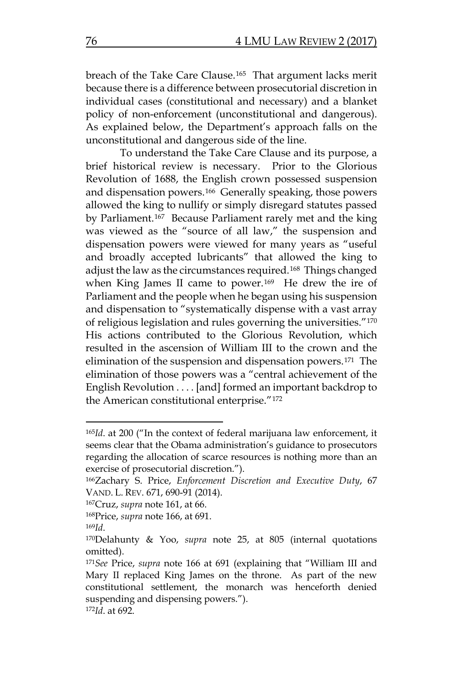breach of the Take Care Clause.[165](#page-34-0) That argument lacks merit because there is a difference between prosecutorial discretion in individual cases (constitutional and necessary) and a blanket policy of non-enforcement (unconstitutional and dangerous). As explained below, the Department's approach falls on the unconstitutional and dangerous side of the line.

To understand the Take Care Clause and its purpose, a brief historical review is necessary. Prior to the Glorious Revolution of 1688, the English crown possessed suspension and dispensation powers.[166](#page-34-1) Generally speaking, those powers allowed the king to nullify or simply disregard statutes passed by Parliament.[167](#page-34-2) Because Parliament rarely met and the king was viewed as the "source of all law," the suspension and dispensation powers were viewed for many years as "useful and broadly accepted lubricants" that allowed the king to adjust the law as the circumstances required.[168](#page-34-3) Things changed when King James II came to power.[169](#page-34-4) He drew the ire of Parliament and the people when he began using his suspension and dispensation to "systematically dispense with a vast array of religious legislation and rules governing the universities."[170](#page-34-5) His actions contributed to the Glorious Revolution, which resulted in the ascension of William III to the crown and the elimination of the suspension and dispensation powers.[171](#page-34-6) The elimination of those powers was a "central achievement of the English Revolution . . . . [and] formed an important backdrop to the American constitutional enterprise."[172](#page-34-7)

<span id="page-34-0"></span><sup>165</sup>*Id*. at 200 ("In the context of federal marijuana law enforcement, it seems clear that the Obama administration's guidance to prosecutors regarding the allocation of scarce resources is nothing more than an exercise of prosecutorial discretion.").

<span id="page-34-1"></span><sup>166</sup>Zachary S. Price, *Enforcement Discretion and Executive Duty*, 67 VAND. L. REV. 671, 690-91 (2014).

<span id="page-34-2"></span><sup>167</sup>Cruz, *supra* note 161, at 66.

<span id="page-34-3"></span><sup>168</sup>Price, *supra* note 166, at 691.

<span id="page-34-4"></span><sup>169</sup>*Id*.

<span id="page-34-5"></span><sup>170</sup>Delahunty & Yoo, *supra* note 25, at 805 (internal quotations omitted).

<span id="page-34-7"></span><span id="page-34-6"></span><sup>171</sup>*See* Price, *supra* note 166 at 691 (explaining that "William III and Mary II replaced King James on the throne. As part of the new constitutional settlement, the monarch was henceforth denied suspending and dispensing powers."). 172*Id*. at 692.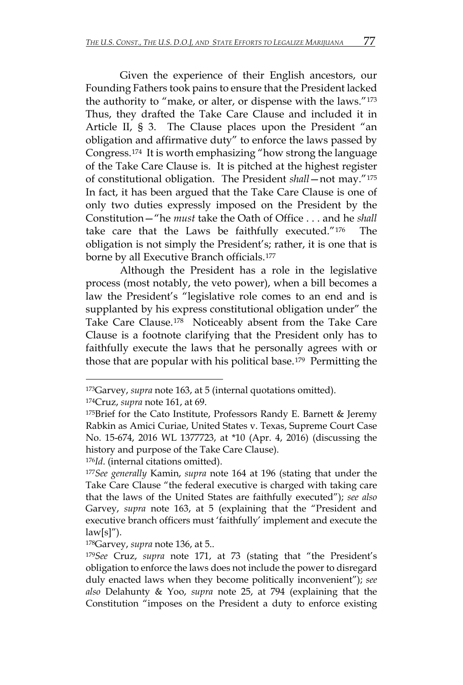Given the experience of their English ancestors, our Founding Fathers took pains to ensure that the President lacked the authority to "make, or alter, or dispense with the laws."[173](#page-35-0) Thus, they drafted the Take Care Clause and included it in Article II, § 3. The Clause places upon the President "an obligation and affirmative duty" to enforce the laws passed by Congress.[174](#page-35-1) It is worth emphasizing "how strong the language of the Take Care Clause is. It is pitched at the highest register of constitutional obligation. The President *shall*—not may."[175](#page-35-2) In fact, it has been argued that the Take Care Clause is one of only two duties expressly imposed on the President by the Constitution—"he *must* take the Oath of Office . . . and he *shall* take care that the Laws be faithfully executed."[176](#page-35-3) The obligation is not simply the President's; rather, it is one that is borne by all Executive Branch officials.[177](#page-35-4)

Although the President has a role in the legislative process (most notably, the veto power), when a bill becomes a law the President's "legislative role comes to an end and is supplanted by his express constitutional obligation under" the Take Care Clause.[178](#page-35-5) Noticeably absent from the Take Care Clause is a footnote clarifying that the President only has to faithfully execute the laws that he personally agrees with or those that are popular with his political base.[179](#page-35-6) Permitting the

<span id="page-35-1"></span>174Cruz, *supra* note 161, at 69.

 $\overline{a}$ 

<span id="page-35-3"></span><sup>176</sup>*Id*. (internal citations omitted).

<span id="page-35-0"></span><sup>173</sup>Garvey, *supra* note 163, at 5 (internal quotations omitted).

<span id="page-35-2"></span> $175$ Brief for the Cato Institute, Professors Randy E. Barnett & Jeremy Rabkin as Amici Curiae, United States v. Texas, Supreme Court Case No. 15-674, 2016 WL 1377723, at \*10 (Apr. 4, 2016) (discussing the history and purpose of the Take Care Clause).

<span id="page-35-4"></span><sup>177</sup>*See generally* Kamin, *supra* note 164 at 196 (stating that under the Take Care Clause "the federal executive is charged with taking care that the laws of the United States are faithfully executed"); *see also*  Garvey, *supra* note 163, at 5 (explaining that the "President and executive branch officers must 'faithfully' implement and execute the  $law[s]''.$ 

<span id="page-35-5"></span><sup>178</sup>Garvey, *supra* note 136, at 5..

<span id="page-35-6"></span><sup>179</sup>*See* Cruz, *supra* note 171, at 73 (stating that "the President's obligation to enforce the laws does not include the power to disregard duly enacted laws when they become politically inconvenient"); *see also* Delahunty & Yoo, *supra* note 25, at 794 (explaining that the Constitution "imposes on the President a duty to enforce existing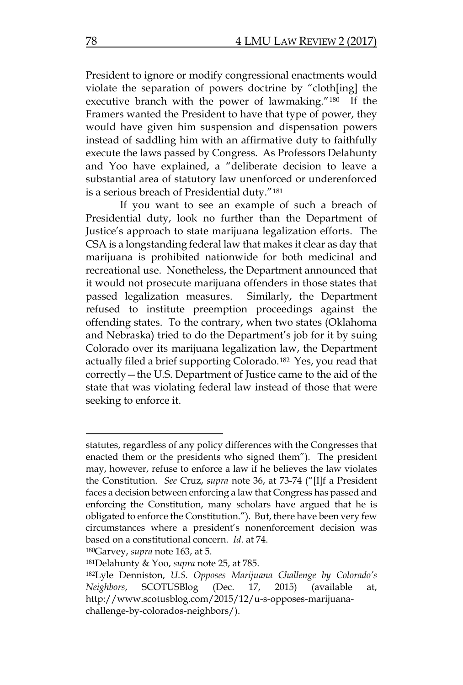President to ignore or modify congressional enactments would violate the separation of powers doctrine by "cloth[ing] the executive branch with the power of lawmaking."[180](#page-36-0) If the Framers wanted the President to have that type of power, they would have given him suspension and dispensation powers instead of saddling him with an affirmative duty to faithfully execute the laws passed by Congress. As Professors Delahunty and Yoo have explained, a "deliberate decision to leave a substantial area of statutory law unenforced or underenforced is a serious breach of Presidential duty."[181](#page-36-1)

If you want to see an example of such a breach of Presidential duty, look no further than the Department of Justice's approach to state marijuana legalization efforts. The CSA is a longstanding federal law that makes it clear as day that marijuana is prohibited nationwide for both medicinal and recreational use. Nonetheless, the Department announced that it would not prosecute marijuana offenders in those states that passed legalization measures. Similarly, the Department refused to institute preemption proceedings against the offending states. To the contrary, when two states (Oklahoma and Nebraska) tried to do the Department's job for it by suing Colorado over its marijuana legalization law, the Department actually filed a brief supporting Colorado.[182](#page-36-2) Yes, you read that correctly—the U.S. Department of Justice came to the aid of the state that was violating federal law instead of those that were seeking to enforce it.

<span id="page-36-0"></span>180Garvey, *supra* note 163, at 5.

statutes, regardless of any policy differences with the Congresses that enacted them or the presidents who signed them"). The president may, however, refuse to enforce a law if he believes the law violates the Constitution. *See* Cruz, *supra* note 36, at 73-74 ("[I]f a President faces a decision between enforcing a law that Congress has passed and enforcing the Constitution, many scholars have argued that he is obligated to enforce the Constitution."). But, there have been very few circumstances where a president's nonenforcement decision was based on a constitutional concern. *Id*. at 74.

<span id="page-36-1"></span><sup>181</sup>Delahunty & Yoo, *supra* note 25, at 785.

<span id="page-36-2"></span><sup>182</sup>Lyle Denniston, *U.S. Opposes Marijuana Challenge by Colorado's Neighbors*, SCOTUSBlog (Dec. 17, 2015) (available at, http://www.scotusblog.com/2015/12/u-s-opposes-marijuanachallenge-by-colorados-neighbors/).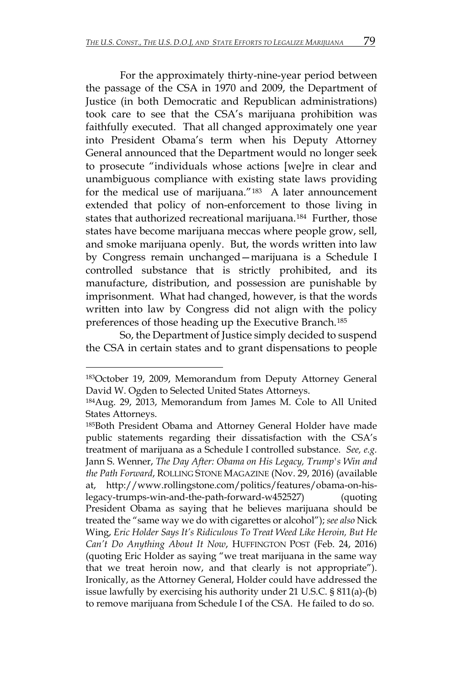For the approximately thirty-nine-year period between the passage of the CSA in 1970 and 2009, the Department of Justice (in both Democratic and Republican administrations) took care to see that the CSA's marijuana prohibition was faithfully executed. That all changed approximately one year into President Obama's term when his Deputy Attorney General announced that the Department would no longer seek to prosecute "individuals whose actions [we]re in clear and unambiguous compliance with existing state laws providing for the medical use of marijuana."<sup>[183](#page-37-0)</sup> A later announcement extended that policy of non-enforcement to those living in states that authorized recreational marijuana.[184](#page-37-1) Further, those states have become marijuana meccas where people grow, sell, and smoke marijuana openly. But, the words written into law by Congress remain unchanged—marijuana is a Schedule I controlled substance that is strictly prohibited, and its manufacture, distribution, and possession are punishable by imprisonment. What had changed, however, is that the words written into law by Congress did not align with the policy preferences of those heading up the Executive Branch.[185](#page-37-2) 

So, the Department of Justice simply decided to suspend the CSA in certain states and to grant dispensations to people

<span id="page-37-0"></span><sup>183</sup>October 19, 2009, Memorandum from Deputy Attorney General David W. Ogden to Selected United States Attorneys.

<span id="page-37-1"></span><sup>184</sup>Aug. 29, 2013, Memorandum from James M. Cole to All United States Attorneys.

<span id="page-37-2"></span><sup>185</sup>Both President Obama and Attorney General Holder have made public statements regarding their dissatisfaction with the CSA's treatment of marijuana as a Schedule I controlled substance. *See, e.g.* Jann S. Wenner, *The Day After: Obama on His Legacy, Trump's Win and the Path Forward*, ROLLING STONE MAGAZINE (Nov. 29, 2016) (available at, http://www.rollingstone.com/politics/features/obama-on-hislegacy-trumps-win-and-the-path-forward-w452527) (quoting President Obama as saying that he believes marijuana should be treated the "same way we do with cigarettes or alcohol"); *see also* Nick Wing, *Eric Holder Says It's Ridiculous To Treat Weed Like Heroin, But He Can't Do Anything About It Now*, HUFFINGTON POST (Feb. 24, 2016) (quoting Eric Holder as saying "we treat marijuana in the same way that we treat heroin now, and that clearly is not appropriate"). Ironically, as the Attorney General, Holder could have addressed the issue lawfully by exercising his authority under 21 U.S.C. § 811(a)-(b) to remove marijuana from Schedule I of the CSA. He failed to do so.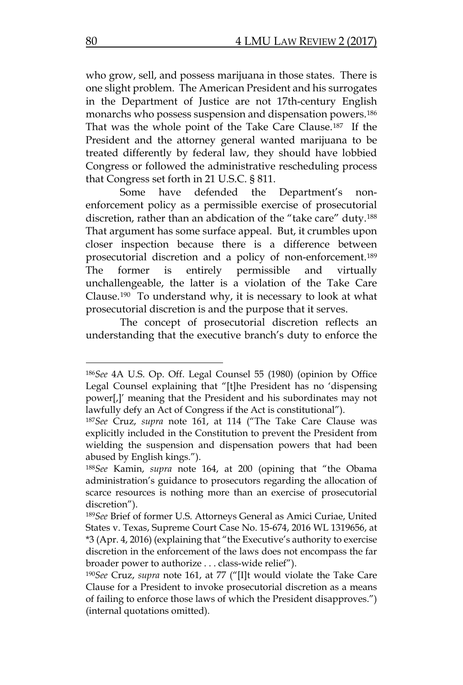who grow, sell, and possess marijuana in those states. There is one slight problem. The American President and his surrogates in the Department of Justice are not 17th-century English monarchs who possess suspension and dispensation powers.[186](#page-38-0) That was the whole point of the Take Care Clause.[187](#page-38-1) If the President and the attorney general wanted marijuana to be treated differently by federal law, they should have lobbied Congress or followed the administrative rescheduling process that Congress set forth in 21 U.S.C. § 811.

Some have defended the Department's nonenforcement policy as a permissible exercise of prosecutorial discretion, rather than an abdication of the "take care" duty.[188](#page-38-2) That argument has some surface appeal. But, it crumbles upon closer inspection because there is a difference between prosecutorial discretion and a policy of non-enforcement.[189](#page-38-3) The former is entirely permissible and virtually unchallengeable, the latter is a violation of the Take Care Clause.[190](#page-38-4) To understand why, it is necessary to look at what prosecutorial discretion is and the purpose that it serves.

The concept of prosecutorial discretion reflects an understanding that the executive branch's duty to enforce the

<span id="page-38-0"></span><sup>186</sup>*See* 4A U.S. Op. Off. Legal Counsel 55 (1980) (opinion by Office Legal Counsel explaining that "[t]he President has no 'dispensing power[,]' meaning that the President and his subordinates may not lawfully defy an Act of Congress if the Act is constitutional").

<span id="page-38-1"></span><sup>187</sup>*See* Cruz, *supra* note 161, at 114 ("The Take Care Clause was explicitly included in the Constitution to prevent the President from wielding the suspension and dispensation powers that had been abused by English kings.").

<span id="page-38-2"></span><sup>188</sup>*See* Kamin, *supra* note 164, at 200 (opining that "the Obama administration's guidance to prosecutors regarding the allocation of scarce resources is nothing more than an exercise of prosecutorial discretion").

<span id="page-38-3"></span><sup>189</sup>*See* Brief of former U.S. Attorneys General as Amici Curiae, United States v. Texas, Supreme Court Case No. 15-674, 2016 WL 1319656, at \*3 (Apr. 4, 2016) (explaining that "the Executive's authority to exercise discretion in the enforcement of the laws does not encompass the far broader power to authorize . . . class-wide relief").

<span id="page-38-4"></span><sup>190</sup>*See* Cruz, *supra* note 161, at 77 ("[I]t would violate the Take Care Clause for a President to invoke prosecutorial discretion as a means of failing to enforce those laws of which the President disapproves.") (internal quotations omitted).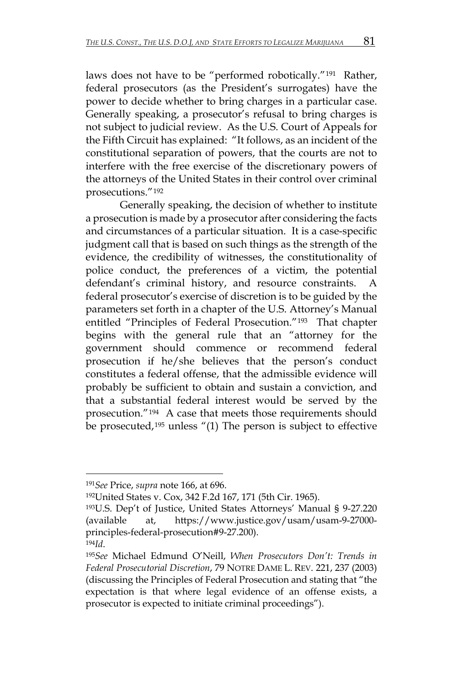laws does not have to be "performed robotically."[191](#page-39-0) Rather, federal prosecutors (as the President's surrogates) have the power to decide whether to bring charges in a particular case. Generally speaking, a prosecutor's refusal to bring charges is not subject to judicial review. As the U.S. Court of Appeals for the Fifth Circuit has explained: "It follows, as an incident of the constitutional separation of powers, that the courts are not to interfere with the free exercise of the discretionary powers of the attorneys of the United States in their control over criminal prosecutions."[192](#page-39-1) 

Generally speaking, the decision of whether to institute a prosecution is made by a prosecutor after considering the facts and circumstances of a particular situation. It is a case-specific judgment call that is based on such things as the strength of the evidence, the credibility of witnesses, the constitutionality of police conduct, the preferences of a victim, the potential defendant's criminal history, and resource constraints. A federal prosecutor's exercise of discretion is to be guided by the parameters set forth in a chapter of the U.S. Attorney's Manual entitled "Principles of Federal Prosecution.["193](#page-39-2) That chapter begins with the general rule that an "attorney for the government should commence or recommend federal prosecution if he/she believes that the person's conduct constitutes a federal offense, that the admissible evidence will probably be sufficient to obtain and sustain a conviction, and that a substantial federal interest would be served by the prosecution."[194](#page-39-3) A case that meets those requirements should be prosecuted,[195](#page-39-4) unless "(1) The person is subject to effective

<span id="page-39-1"></span><span id="page-39-0"></span><sup>191</sup>*See* Price, *supra* note 166, at 696.

<sup>192</sup>United States v. Cox, 342 F.2d 167, 171 (5th Cir. 1965).

<span id="page-39-2"></span><sup>193</sup>U.S. Dep't of Justice, United States Attorneys' Manual § 9-27.220 (available at, https://www.justice.gov/usam/usam-9-27000 principles-federal-prosecution#9-27.200).

<span id="page-39-4"></span><span id="page-39-3"></span><sup>194</sup>*Id*. 195*See* Michael Edmund O'Neill, *When Prosecutors Don't: Trends in Federal Prosecutorial Discretion*, 79 NOTRE DAME L. REV. 221, 237 (2003) (discussing the Principles of Federal Prosecution and stating that "the expectation is that where legal evidence of an offense exists, a prosecutor is expected to initiate criminal proceedings").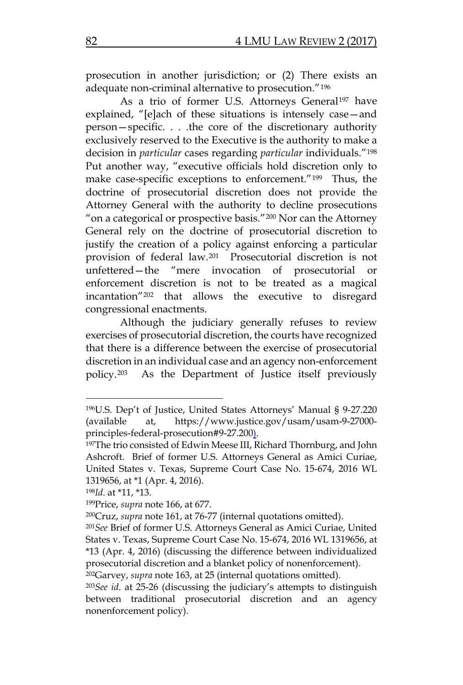prosecution in another jurisdiction; or (2) There exists an adequate non-criminal alternative to prosecution."[196](#page-40-0)

As a trio of former U.S. Attorneys General<sup>[197](#page-40-1)</sup> have explained, "[e]ach of these situations is intensely case—and person—specific. . . .the core of the discretionary authority exclusively reserved to the Executive is the authority to make a decision in *particular* cases regarding *particular* individuals."[198](#page-40-2) Put another way, "executive officials hold discretion only to make case-specific exceptions to enforcement."[199](#page-40-3) Thus, the doctrine of prosecutorial discretion does not provide the Attorney General with the authority to decline prosecutions "on a categorical or prospective basis."[200](#page-40-4) Nor can the Attorney General rely on the doctrine of prosecutorial discretion to justify the creation of a policy against enforcing a particular provision of federal law.[201](#page-40-5) Prosecutorial discretion is not unfettered—the "mere invocation of prosecutorial or enforcement discretion is not to be treated as a magical incantation"[202](#page-40-6) that allows the executive to disregard congressional enactments.

Although the judiciary generally refuses to review exercises of prosecutorial discretion, the courts have recognized that there is a difference between the exercise of prosecutorial discretion in an individual case and an agency non-enforcement policy.[203](#page-40-7) As the Department of Justice itself previously

<span id="page-40-0"></span><sup>196</sup>U.S. Dep't of Justice, United States Attorneys' Manual § 9-27.220 (available at, https://www.justice.gov/usam/usam-9-27000 principles-federal-prosecution#9-27.200).

<span id="page-40-1"></span><sup>&</sup>lt;sup>197</sup>The trio consisted of Edwin Meese III, Richard Thornburg, and John Ashcroft. Brief of former U.S. Attorneys General as Amici Curiae, United States v. Texas, Supreme Court Case No. 15-674, 2016 WL 1319656, at \*1 (Apr. 4, 2016).

<span id="page-40-2"></span><sup>198</sup>*Id*. at \*11, \*13.

<span id="page-40-3"></span><sup>199</sup>Price, *supra* note 166, at 677.

<span id="page-40-5"></span><span id="page-40-4"></span><sup>200</sup>Cruz, *supra* note 161, at 76-77 (internal quotations omitted). 201*See* Brief of former U.S. Attorneys General as Amici Curiae, United States v. Texas, Supreme Court Case No. 15-674, 2016 WL 1319656, at \*13 (Apr. 4, 2016) (discussing the difference between individualized prosecutorial discretion and a blanket policy of nonenforcement).

<span id="page-40-6"></span><sup>202</sup>Garvey, *supra* note 163, at 25 (internal quotations omitted).

<span id="page-40-7"></span><sup>203</sup>*See id*. at 25-26 (discussing the judiciary's attempts to distinguish between traditional prosecutorial discretion and an agency nonenforcement policy).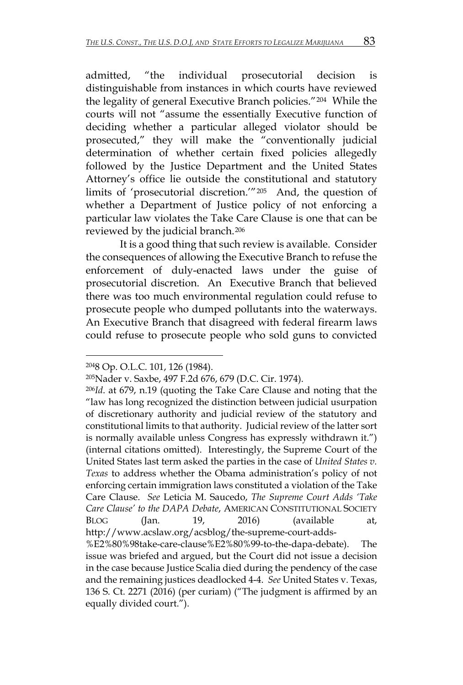admitted, "the individual prosecutorial decision is distinguishable from instances in which courts have reviewed the legality of general Executive Branch policies."[204](#page-41-0) While the courts will not "assume the essentially Executive function of deciding whether a particular alleged violator should be prosecuted," they will make the "conventionally judicial determination of whether certain fixed policies allegedly followed by the Justice Department and the United States Attorney's office lie outside the constitutional and statutory limits of 'prosecutorial discretion.'"[205](#page-41-1) And, the question of whether a Department of Justice policy of not enforcing a particular law violates the Take Care Clause is one that can be reviewed by the judicial branch.[206](#page-41-2)

It is a good thing that such review is available. Consider the consequences of allowing the Executive Branch to refuse the enforcement of duly-enacted laws under the guise of prosecutorial discretion. An Executive Branch that believed there was too much environmental regulation could refuse to prosecute people who dumped pollutants into the waterways. An Executive Branch that disagreed with federal firearm laws could refuse to prosecute people who sold guns to convicted

<span id="page-41-0"></span><sup>2048</sup> Op. O.L.C. 101, 126 (1984).

<span id="page-41-1"></span><sup>205</sup>Nader v. Saxbe, 497 F.2d 676, 679 (D.C. Cir. 1974).

<span id="page-41-2"></span><sup>206</sup>*Id*. at 679, n.19 (quoting the Take Care Clause and noting that the "law has long recognized the distinction between judicial usurpation of discretionary authority and judicial review of the statutory and constitutional limits to that authority. Judicial review of the latter sort is normally available unless Congress has expressly withdrawn it.") (internal citations omitted). Interestingly, the Supreme Court of the United States last term asked the parties in the case of *United States v. Texas* to address whether the Obama administration's policy of not enforcing certain immigration laws constituted a violation of the Take Care Clause. *See* Leticia M. Saucedo, *The Supreme Court Adds 'Take Care Clause' to the DAPA Debate*, AMERICAN CONSTITUTIONAL SOCIETY BLOG (Jan. 19, 2016) (available at, http://www.acslaw.org/acsblog/the-supreme-court-adds-

<sup>%</sup>E2%80%98take-care-clause%E2%80%99-to-the-dapa-debate). The issue was briefed and argued, but the Court did not issue a decision in the case because Justice Scalia died during the pendency of the case and the remaining justices deadlocked 4-4. *See* United States v. Texas, 136 S. Ct. 2271 (2016) (per curiam) ("The judgment is affirmed by an equally divided court.").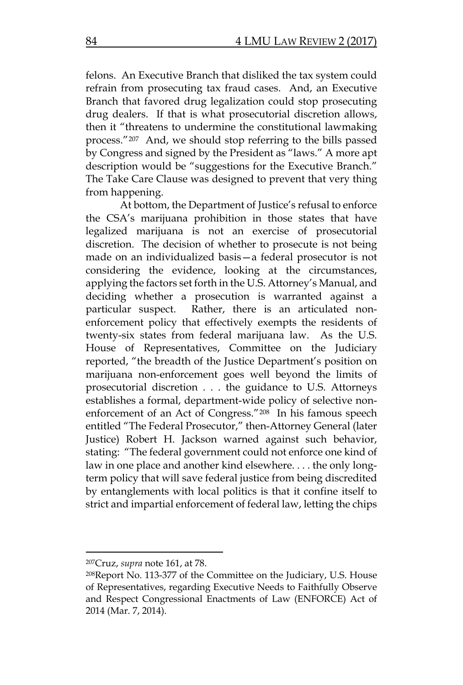felons. An Executive Branch that disliked the tax system could refrain from prosecuting tax fraud cases. And, an Executive Branch that favored drug legalization could stop prosecuting drug dealers. If that is what prosecutorial discretion allows, then it "threatens to undermine the constitutional lawmaking process."[207](#page-42-0) And, we should stop referring to the bills passed by Congress and signed by the President as "laws." A more apt description would be "suggestions for the Executive Branch." The Take Care Clause was designed to prevent that very thing from happening.

At bottom, the Department of Justice's refusal to enforce the CSA's marijuana prohibition in those states that have legalized marijuana is not an exercise of prosecutorial discretion. The decision of whether to prosecute is not being made on an individualized basis—a federal prosecutor is not considering the evidence, looking at the circumstances, applying the factors set forth in the U.S. Attorney's Manual, and deciding whether a prosecution is warranted against a particular suspect. Rather, there is an articulated nonenforcement policy that effectively exempts the residents of twenty-six states from federal marijuana law. As the U.S. House of Representatives, Committee on the Judiciary reported, "the breadth of the Justice Department's position on marijuana non-enforcement goes well beyond the limits of prosecutorial discretion . . . the guidance to U.S. Attorneys establishes a formal, department-wide policy of selective nonenforcement of an Act of Congress."[208](#page-42-1) In his famous speech entitled "The Federal Prosecutor," then-Attorney General (later Justice) Robert H. Jackson warned against such behavior, stating: "The federal government could not enforce one kind of law in one place and another kind elsewhere. . . . the only longterm policy that will save federal justice from being discredited by entanglements with local politics is that it confine itself to strict and impartial enforcement of federal law, letting the chips

<span id="page-42-0"></span><sup>207</sup>Cruz, *supra* note 161, at 78.

<span id="page-42-1"></span><sup>208</sup>Report No. 113-377 of the Committee on the Judiciary, U.S. House of Representatives, regarding Executive Needs to Faithfully Observe and Respect Congressional Enactments of Law (ENFORCE) Act of 2014 (Mar. 7, 2014).